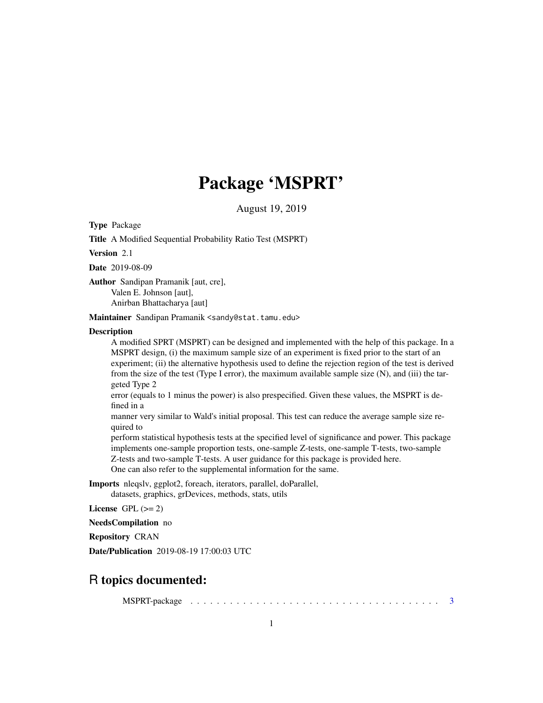# Package 'MSPRT'

August 19, 2019

Type Package

Title A Modified Sequential Probability Ratio Test (MSPRT)

Version 2.1

Date 2019-08-09

Author Sandipan Pramanik [aut, cre],

Valen E. Johnson [aut], Anirban Bhattacharya [aut]

Maintainer Sandipan Pramanik <sandy@stat.tamu.edu>

#### **Description**

A modified SPRT (MSPRT) can be designed and implemented with the help of this package. In a MSPRT design, (i) the maximum sample size of an experiment is fixed prior to the start of an experiment; (ii) the alternative hypothesis used to define the rejection region of the test is derived from the size of the test (Type I error), the maximum available sample size (N), and (iii) the targeted Type 2

error (equals to 1 minus the power) is also prespecified. Given these values, the MSPRT is defined in a

manner very similar to Wald's initial proposal. This test can reduce the average sample size required to

perform statistical hypothesis tests at the specified level of significance and power. This package implements one-sample proportion tests, one-sample Z-tests, one-sample T-tests, two-sample Z-tests and two-sample T-tests. A user guidance for this package is provided here. One can also refer to the supplemental information for the same.

Imports nleqslv, ggplot2, foreach, iterators, parallel, doParallel, datasets, graphics, grDevices, methods, stats, utils

License GPL  $(>= 2)$ 

NeedsCompilation no

Repository CRAN

Date/Publication 2019-08-19 17:00:03 UTC

# R topics documented:

MSPRT-package . . . . . . . . . . . . . . . . . . . . . . . . . . . . . . . . . . . . . . [3](#page-2-0)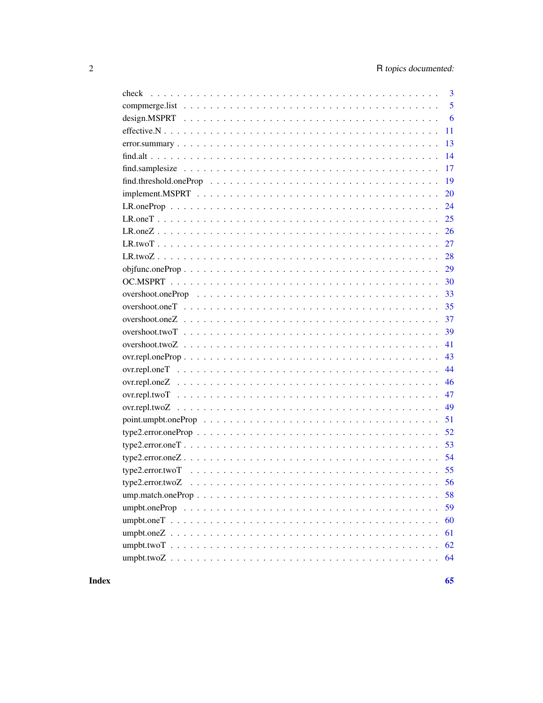|                                                                                                                              | 3              |
|------------------------------------------------------------------------------------------------------------------------------|----------------|
|                                                                                                                              | $\overline{5}$ |
|                                                                                                                              | 6              |
|                                                                                                                              | 11             |
| $error. summary \dots \dots \dots \dots \dots \dots \dots \dots \dots \dots \dots \dots \dots \dots \dots \dots \dots \dots$ | 13             |
|                                                                                                                              | 14             |
|                                                                                                                              | 17             |
|                                                                                                                              | 19             |
|                                                                                                                              | 20             |
|                                                                                                                              | 24             |
|                                                                                                                              | 25             |
|                                                                                                                              | 26             |
|                                                                                                                              | 27             |
|                                                                                                                              | 28             |
|                                                                                                                              | 29             |
|                                                                                                                              | 30             |
|                                                                                                                              | 33             |
| overshoot.oneT $\ldots \ldots \ldots \ldots \ldots \ldots \ldots \ldots \ldots \ldots \ldots \ldots \ldots$                  | 35             |
|                                                                                                                              | 37             |
|                                                                                                                              | 39             |
|                                                                                                                              | 41             |
|                                                                                                                              | 43             |
|                                                                                                                              | 44             |
|                                                                                                                              | 46             |
|                                                                                                                              | 47             |
|                                                                                                                              | 49             |
|                                                                                                                              | 51             |
|                                                                                                                              | 52             |
|                                                                                                                              | 53             |
|                                                                                                                              |                |
|                                                                                                                              |                |
|                                                                                                                              |                |
|                                                                                                                              | 58             |
|                                                                                                                              | 59             |
|                                                                                                                              | 60             |
|                                                                                                                              | 61             |
|                                                                                                                              | 62             |
|                                                                                                                              | 64             |

**Index**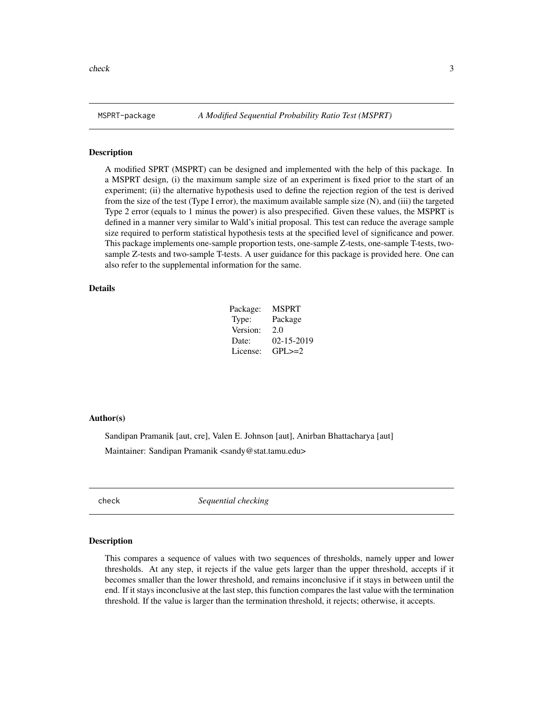<span id="page-2-0"></span>

#### Description

A modified SPRT (MSPRT) can be designed and implemented with the help of this package. In a MSPRT design, (i) the maximum sample size of an experiment is fixed prior to the start of an experiment; (ii) the alternative hypothesis used to define the rejection region of the test is derived from the size of the test (Type I error), the maximum available sample size (N), and (iii) the targeted Type 2 error (equals to 1 minus the power) is also prespecified. Given these values, the MSPRT is defined in a manner very similar to Wald's initial proposal. This test can reduce the average sample size required to perform statistical hypothesis tests at the specified level of significance and power. This package implements one-sample proportion tests, one-sample Z-tests, one-sample T-tests, twosample Z-tests and two-sample T-tests. A user guidance for this package is provided here. One can also refer to the supplemental information for the same.

#### Details

| Package: | <b>MSPRT</b>     |
|----------|------------------|
| Type:    | Package          |
| Version: | 2.0              |
| Date:    | $02 - 15 - 2019$ |
| License: | $GPL \geq = 2$   |

#### Author(s)

Sandipan Pramanik [aut, cre], Valen E. Johnson [aut], Anirban Bhattacharya [aut] Maintainer: Sandipan Pramanik <sandy@stat.tamu.edu>

check *Sequential checking*

#### Description

This compares a sequence of values with two sequences of thresholds, namely upper and lower thresholds. At any step, it rejects if the value gets larger than the upper threshold, accepts if it becomes smaller than the lower threshold, and remains inconclusive if it stays in between until the end. If it stays inconclusive at the last step, this function compares the last value with the termination threshold. If the value is larger than the termination threshold, it rejects; otherwise, it accepts.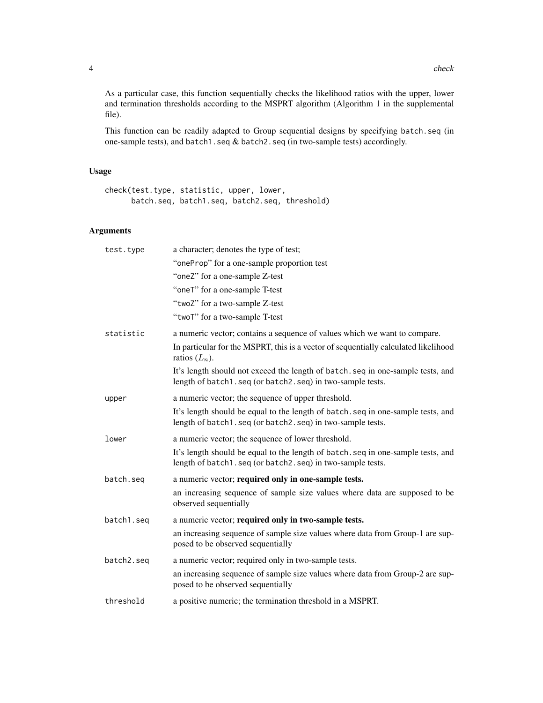As a particular case, this function sequentially checks the likelihood ratios with the upper, lower and termination thresholds according to the MSPRT algorithm (Algorithm 1 in the supplemental file).

This function can be readily adapted to Group sequential designs by specifying batch.seq (in one-sample tests), and batch1.seq & batch2.seq (in two-sample tests) accordingly.

# Usage

check(test.type, statistic, upper, lower, batch.seq, batch1.seq, batch2.seq, threshold)

| test.type  | a character; denotes the type of test;                                                                                                        |
|------------|-----------------------------------------------------------------------------------------------------------------------------------------------|
|            | "oneProp" for a one-sample proportion test                                                                                                    |
|            | "oneZ" for a one-sample Z-test                                                                                                                |
|            | "oneT" for a one-sample T-test                                                                                                                |
|            | "twoZ" for a two-sample Z-test                                                                                                                |
|            | "twoT" for a two-sample T-test                                                                                                                |
| statistic  | a numeric vector; contains a sequence of values which we want to compare.                                                                     |
|            | In particular for the MSPRT, this is a vector of sequentially calculated likelihood<br>ratios $(L_n)$ .                                       |
|            | It's length should not exceed the length of batch. seq in one-sample tests, and<br>length of batch1.seq (or batch2.seq) in two-sample tests.  |
| upper      | a numeric vector; the sequence of upper threshold.                                                                                            |
|            | It's length should be equal to the length of batch. seq in one-sample tests, and<br>length of batch1.seq (or batch2.seq) in two-sample tests. |
| lower      | a numeric vector; the sequence of lower threshold.                                                                                            |
|            | It's length should be equal to the length of batch. seq in one-sample tests, and<br>length of batch1.seq (or batch2.seq) in two-sample tests. |
| batch.seq  | a numeric vector; required only in one-sample tests.                                                                                          |
|            | an increasing sequence of sample size values where data are supposed to be<br>observed sequentially                                           |
| batch1.seq | a numeric vector; required only in two-sample tests.                                                                                          |
|            | an increasing sequence of sample size values where data from Group-1 are sup-<br>posed to be observed sequentially                            |
| batch2.seq | a numeric vector; required only in two-sample tests.                                                                                          |
|            | an increasing sequence of sample size values where data from Group-2 are sup-<br>posed to be observed sequentially                            |
| threshold  | a positive numeric; the termination threshold in a MSPRT.                                                                                     |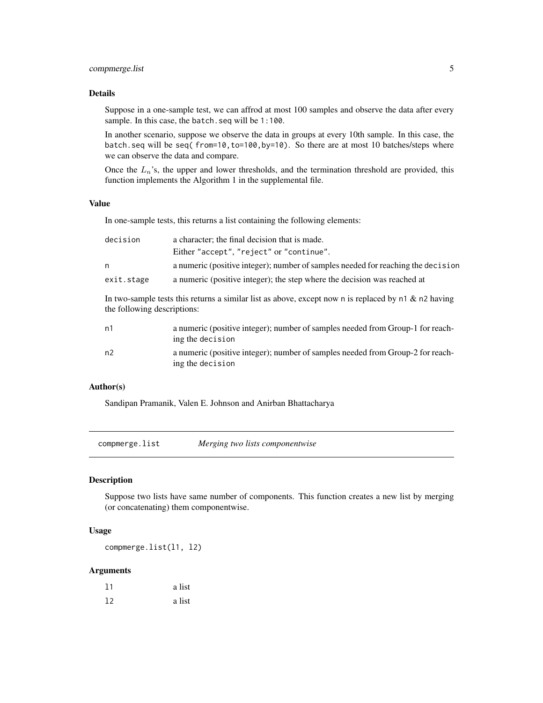# <span id="page-4-0"></span>compmerge.list 5

#### Details

Suppose in a one-sample test, we can affrod at most 100 samples and observe the data after every sample. In this case, the batch.seq will be 1:100.

In another scenario, suppose we observe the data in groups at every 10th sample. In this case, the batch.seq will be seq( $from=10, to=100, by=10$ ). So there are at most 10 batches/steps where we can observe the data and compare.

Once the  $L_n$ 's, the upper and lower thresholds, and the termination threshold are provided, this function implements the Algorithm 1 in the supplemental file.

#### Value

In one-sample tests, this returns a list containing the following elements:

| a character; the final decision that is made.                                    |
|----------------------------------------------------------------------------------|
| Either "accept", "reject" or "continue".                                         |
| a numeric (positive integer); number of samples needed for reaching the decision |
| a numeric (positive integer); the step where the decision was reached at         |
|                                                                                  |

In two-sample tests this returns a similar list as above, except now n is replaced by n1  $\&$  n2 having the following descriptions:

| n1             | a numeric (positive integer); number of samples needed from Group-1 for reach-<br>ing the decision |
|----------------|----------------------------------------------------------------------------------------------------|
| n <sub>2</sub> | a numeric (positive integer); number of samples needed from Group-2 for reach-<br>ing the decision |

#### Author(s)

Sandipan Pramanik, Valen E. Johnson and Anirban Bhattacharya

compmerge.list *Merging two lists componentwise*

#### Description

Suppose two lists have same number of components. This function creates a new list by merging (or concatenating) them componentwise.

#### Usage

compmerge.list(l1, l2)

| 11 | a list |
|----|--------|
| 12 | a list |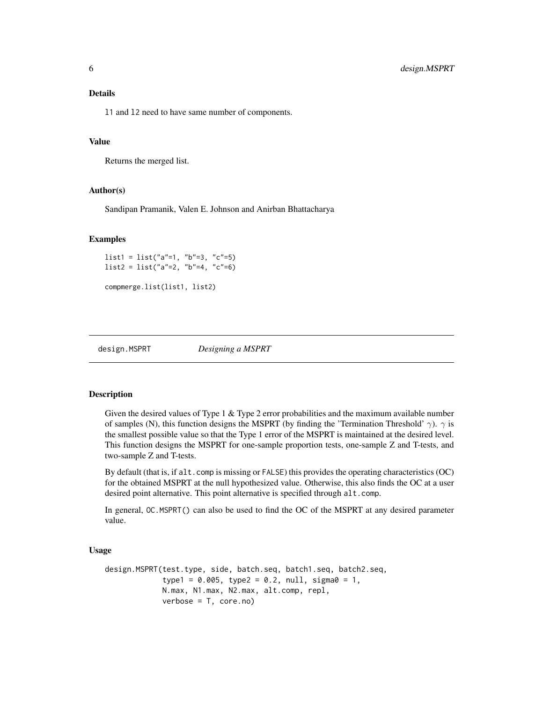<span id="page-5-0"></span>l1 and l2 need to have same number of components.

#### Value

Returns the merged list.

#### Author(s)

Sandipan Pramanik, Valen E. Johnson and Anirban Bhattacharya

## Examples

list1 = list("a"=1, "b"=3, "c"=5) list2 = list("a"=2, "b"=4, "c"=6)

compmerge.list(list1, list2)

design.MSPRT *Designing a MSPRT*

# **Description**

Given the desired values of Type 1 & Type 2 error probabilities and the maximum available number of samples (N), this function designs the MSPRT (by finding the 'Termination Threshold'  $\gamma$ ).  $\gamma$  is the smallest possible value so that the Type 1 error of the MSPRT is maintained at the desired level. This function designs the MSPRT for one-sample proportion tests, one-sample Z and T-tests, and two-sample Z and T-tests.

By default (that is, if alt.comp is missing or FALSE) this provides the operating characteristics (OC) for the obtained MSPRT at the null hypothesized value. Otherwise, this also finds the OC at a user desired point alternative. This point alternative is specified through  $alt.comp$ .

In general, OC.MSPRT() can also be used to find the OC of the MSPRT at any desired parameter value.

#### Usage

```
design.MSPRT(test.type, side, batch.seq, batch1.seq, batch2.seq,
             type1 = 0.005, type2 = 0.2, null, sigma0 = 1,
            N.max, N1.max, N2.max, alt.comp, repl,
             verbose = T, core.no)
```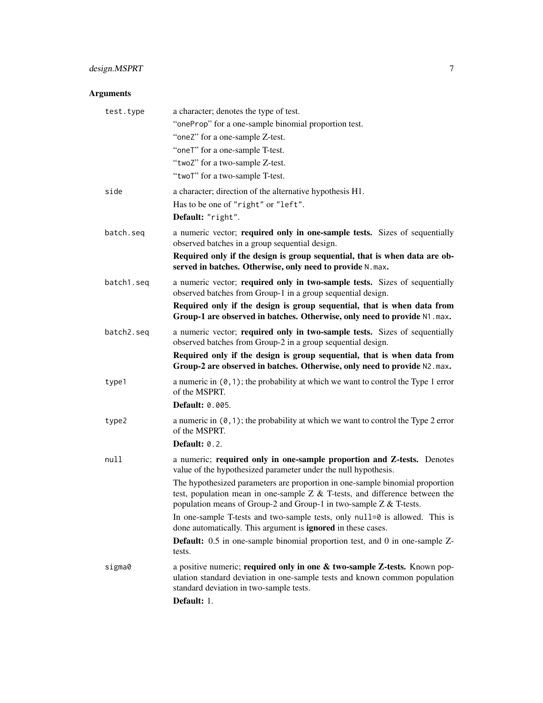# design.MSPRT 7

| test.type  | a character; denotes the type of test.<br>"oneProp" for a one-sample binomial proportion test.                                                                                                                                           |
|------------|------------------------------------------------------------------------------------------------------------------------------------------------------------------------------------------------------------------------------------------|
|            | "oneZ" for a one-sample Z-test.                                                                                                                                                                                                          |
|            | "oneT" for a one-sample T-test.                                                                                                                                                                                                          |
|            | "twoZ" for a two-sample Z-test.                                                                                                                                                                                                          |
|            | "twoT" for a two-sample T-test.                                                                                                                                                                                                          |
| side       | a character; direction of the alternative hypothesis H1.                                                                                                                                                                                 |
|            | Has to be one of "right" or "left".                                                                                                                                                                                                      |
|            | Default: "right".                                                                                                                                                                                                                        |
| batch.seg  | a numeric vector; required only in one-sample tests. Sizes of sequentially<br>observed batches in a group sequential design.                                                                                                             |
|            | Required only if the design is group sequential, that is when data are ob-<br>served in batches. Otherwise, only need to provide N. max.                                                                                                 |
| batch1.seq | a numeric vector; required only in two-sample tests. Sizes of sequentially<br>observed batches from Group-1 in a group sequential design.                                                                                                |
|            | Required only if the design is group sequential, that is when data from<br>Group-1 are observed in batches. Otherwise, only need to provide N1 . max.                                                                                    |
| batch2.seq | a numeric vector; required only in two-sample tests. Sizes of sequentially<br>observed batches from Group-2 in a group sequential design.                                                                                                |
|            | Required only if the design is group sequential, that is when data from<br>Group-2 are observed in batches. Otherwise, only need to provide N2.max.                                                                                      |
| type1      | a numeric in $(0, 1)$ ; the probability at which we want to control the Type 1 error<br>of the MSPRT.                                                                                                                                    |
|            | <b>Default: 0.005.</b>                                                                                                                                                                                                                   |
| type2      | a numeric in $(0, 1)$ ; the probability at which we want to control the Type 2 error<br>of the MSPRT.                                                                                                                                    |
|            | Default: $0.2$ .                                                                                                                                                                                                                         |
| null       | a numeric; required only in one-sample proportion and Z-tests. Denotes<br>value of the hypothesized parameter under the null hypothesis.                                                                                                 |
|            | The hypothesized parameters are proportion in one-sample binomial proportion<br>test, population mean in one-sample $Z < X$ T-tests, and difference between the<br>population means of Group-2 and Group-1 in two-sample $Z < T$ -tests. |
|            | In one-sample T-tests and two-sample tests, only null=0 is allowed. This is<br>done automatically. This argument is <b>ignored</b> in these cases.                                                                                       |
|            | <b>Default:</b> 0.5 in one-sample binomial proportion test, and 0 in one-sample Z-<br>tests.                                                                                                                                             |
| sigma0     | a positive numeric; required only in one & two-sample Z-tests. Known pop-<br>ulation standard deviation in one-sample tests and known common population<br>standard deviation in two-sample tests.<br>Default: 1.                        |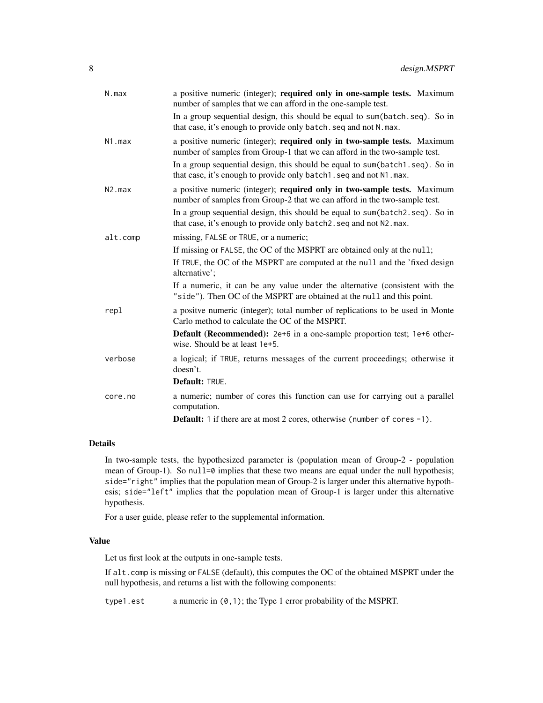| N.max    | a positive numeric (integer); required only in one-sample tests. Maximum<br>number of samples that we can afford in the one-sample test.                                                                                                                                                                     |
|----------|--------------------------------------------------------------------------------------------------------------------------------------------------------------------------------------------------------------------------------------------------------------------------------------------------------------|
|          | In a group sequential design, this should be equal to sum(batch.seq). So in<br>that case, it's enough to provide only batch. seq and not N. max.                                                                                                                                                             |
| N1.max   | a positive numeric (integer); required only in two-sample tests. Maximum<br>number of samples from Group-1 that we can afford in the two-sample test.                                                                                                                                                        |
|          | In a group sequential design, this should be equal to sum (batch 1. seq). So in<br>that case, it's enough to provide only batch1. seq and not N1. max.                                                                                                                                                       |
| N2.max   | a positive numeric (integer); required only in two-sample tests. Maximum<br>number of samples from Group-2 that we can afford in the two-sample test.<br>In a group sequential design, this should be equal to sum(batch2.seq). So in<br>that case, it's enough to provide only batch2. seq and not N2. max. |
| alt.comp | missing, FALSE or TRUE, or a numeric;                                                                                                                                                                                                                                                                        |
|          | If missing or FALSE, the OC of the MSPRT are obtained only at the null;                                                                                                                                                                                                                                      |
|          | If TRUE, the OC of the MSPRT are computed at the null and the 'fixed design<br>alternative';                                                                                                                                                                                                                 |
|          | If a numeric, it can be any value under the alternative (consistent with the<br>"side"). Then OC of the MSPRT are obtained at the null and this point.                                                                                                                                                       |
| repl     | a positve numeric (integer); total number of replications to be used in Monte<br>Carlo method to calculate the OC of the MSPRT.                                                                                                                                                                              |
|          | <b>Default (Recommended):</b> 2e+6 in a one-sample proportion test; 1e+6 other-<br>wise. Should be at least 1e+5.                                                                                                                                                                                            |
| verbose  | a logical; if TRUE, returns messages of the current proceedings; otherwise it<br>doesn't.                                                                                                                                                                                                                    |
|          | Default: TRUE.                                                                                                                                                                                                                                                                                               |
| core.no  | a numeric; number of cores this function can use for carrying out a parallel<br>computation.                                                                                                                                                                                                                 |
|          | Default: 1 if there are at most 2 cores, otherwise (number of cores -1).                                                                                                                                                                                                                                     |

#### Details

In two-sample tests, the hypothesized parameter is (population mean of Group-2 - population mean of Group-1). So null= $\theta$  implies that these two means are equal under the null hypothesis; side="right" implies that the population mean of Group-2 is larger under this alternative hypothesis; side="left" implies that the population mean of Group-1 is larger under this alternative hypothesis.

For a user guide, please refer to the supplemental information.

# Value

Let us first look at the outputs in one-sample tests.

If alt.comp is missing or FALSE (default), this computes the OC of the obtained MSPRT under the null hypothesis, and returns a list with the following components:

type1.est a numeric in  $(0,1)$ ; the Type 1 error probability of the MSPRT.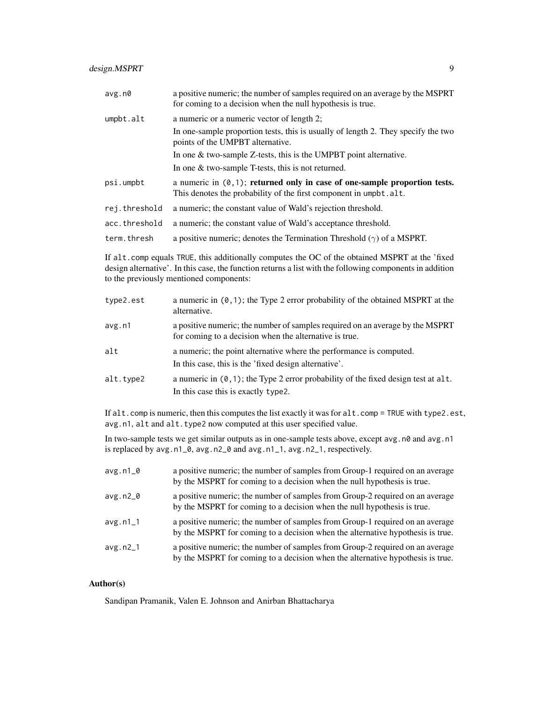| avg.n0        | a positive numeric; the number of samples required on an average by the MSPRT<br>for coming to a decision when the null hypothesis is true.       |
|---------------|---------------------------------------------------------------------------------------------------------------------------------------------------|
| umpbt.alt     | a numeric or a numeric vector of length 2;                                                                                                        |
|               | In one-sample proportion tests, this is usually of length 2. They specify the two<br>points of the UMPBT alternative.                             |
|               | In one $\&$ two-sample Z-tests, this is the UMPBT point alternative.                                                                              |
|               | In one $&$ two-sample T-tests, this is not returned.                                                                                              |
| psi.umpbt     | a numeric in $(0,1)$ ; returned only in case of one-sample proportion tests.<br>This denotes the probability of the first component in umpbt.alt. |
| rej.threshold | a numeric; the constant value of Wald's rejection threshold.                                                                                      |
| acc.threshold | a numeric; the constant value of Wald's acceptance threshold.                                                                                     |
| term.thresh   | a positive numeric; denotes the Termination Threshold $(\gamma)$ of a MSPRT.                                                                      |

If alt.comp equals TRUE, this additionally computes the OC of the obtained MSPRT at the 'fixed design alternative'. In this case, the function returns a list with the following components in addition to the previously mentioned components:

| type2.est | a numeric in $(0, 1)$ ; the Type 2 error probability of the obtained MSPRT at the<br>alternative.                                       |
|-----------|-----------------------------------------------------------------------------------------------------------------------------------------|
| avg.n1    | a positive numeric; the number of samples required on an average by the MSPRT<br>for coming to a decision when the alternative is true. |
| alt       | a numeric; the point alternative where the performance is computed.<br>In this case, this is the 'fixed design alternative'.            |
| alt.type2 | a numeric in $(0, 1)$ ; the Type 2 error probability of the fixed design test at alt.<br>In this case this is exactly type2.            |

If alt.comp is numeric, then this computes the list exactly it was for alt.comp = TRUE with type2.est, avg.n1, alt and alt.type2 now computed at this user specified value.

In two-sample tests we get similar outputs as in one-sample tests above, except avg.n0 and avg.n1 is replaced by avg.n1\_0, avg.n2\_0 and avg.n1\_1, avg.n2\_1, respectively.

| $avg.n1_0$ | a positive numeric; the number of samples from Group-1 required on an average<br>by the MSPRT for coming to a decision when the null hypothesis is true.        |
|------------|-----------------------------------------------------------------------------------------------------------------------------------------------------------------|
| $avg.n2_0$ | a positive numeric; the number of samples from Group-2 required on an average<br>by the MSPRT for coming to a decision when the null hypothesis is true.        |
| $avg.n1_1$ | a positive numeric; the number of samples from Group-1 required on an average<br>by the MSPRT for coming to a decision when the alternative hypothesis is true. |
| $avg.n2_1$ | a positive numeric; the number of samples from Group-2 required on an average<br>by the MSPRT for coming to a decision when the alternative hypothesis is true. |

# Author(s)

Sandipan Pramanik, Valen E. Johnson and Anirban Bhattacharya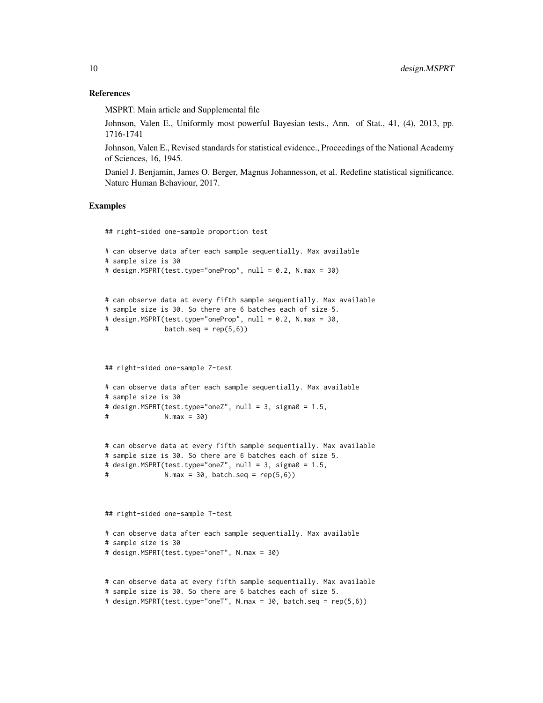#### References

MSPRT: Main article and Supplemental file

Johnson, Valen E., Uniformly most powerful Bayesian tests., Ann. of Stat., 41, (4), 2013, pp. 1716-1741

Johnson, Valen E., Revised standards for statistical evidence., Proceedings of the National Academy of Sciences, 16, 1945.

Daniel J. Benjamin, James O. Berger, Magnus Johannesson, et al. Redefine statistical significance. Nature Human Behaviour, 2017.

#### Examples

## right-sided one-sample proportion test

```
# can observe data after each sample sequentially. Max available
# sample size is 30
# design.MSPRT(test.type="oneProp", null = 0.2, N.max = 30)
```

```
# can observe data at every fifth sample sequentially. Max available
# sample size is 30. So there are 6 batches each of size 5.
# design.MSPRT(test.type="oneProp", null = 0.2, N.max = 30,
# batch.seq = rep(5,6))
```
## right-sided one-sample Z-test

```
# can observe data after each sample sequentially. Max available
# sample size is 30
# design.MSPRT(test.type="oneZ", null = 3, sigma0 = 1.5,
# N.max = 30)
```

```
# can observe data at every fifth sample sequentially. Max available
# sample size is 30. So there are 6 batches each of size 5.
# design.MSPRT(test.type="oneZ", null = 3, sigma0 = 1.5,
# N.max = 30, batch.seq = rep(5,6))
```

```
## right-sided one-sample T-test
```

```
# can observe data after each sample sequentially. Max available
# sample size is 30
# design.MSPRT(test.type="oneT", N.max = 30)
```

```
# can observe data at every fifth sample sequentially. Max available
# sample size is 30. So there are 6 batches each of size 5.
# design.MSPRT(test.type="oneT", N.max = 30, batch.seq = rep(5,6))
```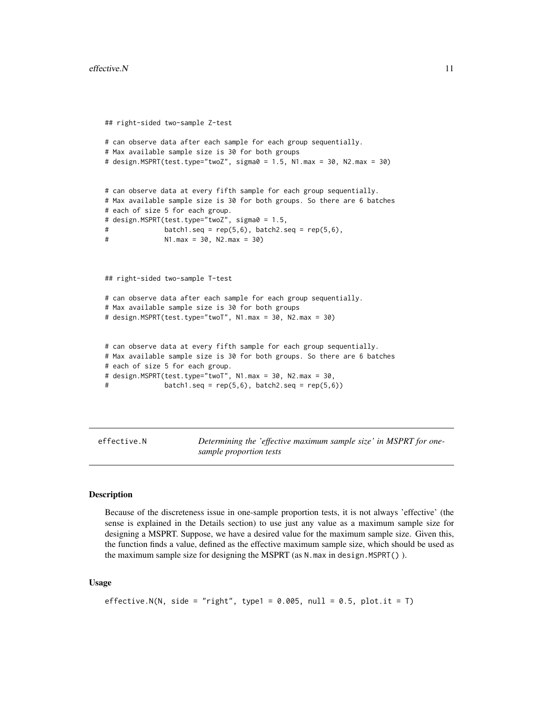```
## right-sided two-sample Z-test
# can observe data after each sample for each group sequentially.
# Max available sample size is 30 for both groups
# design.MSPRT(test.type="twoZ", sigma0 = 1.5, N1.max = 30, N2.max = 30)
# can observe data at every fifth sample for each group sequentially.
# Max available sample size is 30 for both groups. So there are 6 batches
# each of size 5 for each group.
# design.MSPRT(test.type="twoZ", sigma0 = 1.5,
# batch1.seq = rep(5,6), batch2.seq = rep(5,6),
# N1.max = 30, N2.max = 30)
## right-sided two-sample T-test
# can observe data after each sample for each group sequentially.
# Max available sample size is 30 for both groups
# design.MSPRT(test.type="twoT", N1.max = 30, N2.max = 30)
# can observe data at every fifth sample for each group sequentially.
# Max available sample size is 30 for both groups. So there are 6 batches
# each of size 5 for each group.
# design.MSPRT(test.type="twoT", N1.max = 30, N2.max = 30,
# batch1.seq = rep(5,6), batch2.seq = rep(5,6))
```
effective.N *Determining the 'effective maximum sample size' in MSPRT for onesample proportion tests*

#### **Description**

Because of the discreteness issue in one-sample proportion tests, it is not always 'effective' (the sense is explained in the Details section) to use just any value as a maximum sample size for designing a MSPRT. Suppose, we have a desired value for the maximum sample size. Given this, the function finds a value, defined as the effective maximum sample size, which should be used as the maximum sample size for designing the MSPRT (as N.max in design.MSPRT() ).

#### Usage

```
effective.N(N, side = "right", type1 = 0.005, null = 0.5, plot.it = T)
```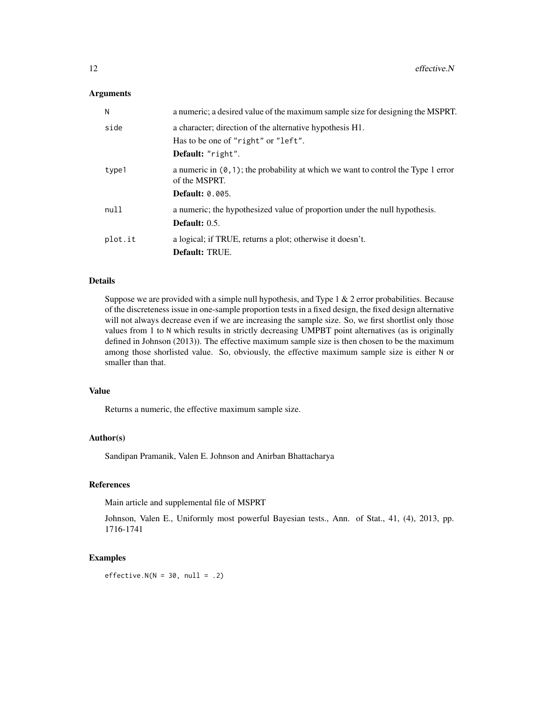#### **Arguments**

| N       | a numeric; a desired value of the maximum sample size for designing the MSPRT.                        |
|---------|-------------------------------------------------------------------------------------------------------|
| side    | a character; direction of the alternative hypothesis H1.                                              |
|         | Has to be one of "right" or "left".                                                                   |
|         | Default: "right".                                                                                     |
| type1   | a numeric in $(0, 1)$ ; the probability at which we want to control the Type 1 error<br>of the MSPRT. |
|         | <b>Default: 0.005.</b>                                                                                |
| null    | a numeric; the hypothesized value of proportion under the null hypothesis.                            |
|         | Default: $0.5$ .                                                                                      |
| plot.it | a logical; if TRUE, returns a plot; otherwise it doesn't.                                             |
|         | Default: TRUE.                                                                                        |

#### Details

Suppose we are provided with a simple null hypothesis, and Type  $1 \& 2$  error probabilities. Because of the discreteness issue in one-sample proportion tests in a fixed design, the fixed design alternative will not always decrease even if we are increasing the sample size. So, we first shortlist only those values from 1 to N which results in strictly decreasing UMPBT point alternatives (as is originally defined in Johnson (2013)). The effective maximum sample size is then chosen to be the maximum among those shorlisted value. So, obviously, the effective maximum sample size is either N or smaller than that.

## Value

Returns a numeric, the effective maximum sample size.

#### Author(s)

Sandipan Pramanik, Valen E. Johnson and Anirban Bhattacharya

#### References

Main article and supplemental file of MSPRT

Johnson, Valen E., Uniformly most powerful Bayesian tests., Ann. of Stat., 41, (4), 2013, pp. 1716-1741

#### Examples

effective.N( $N = 30$ , null = .2)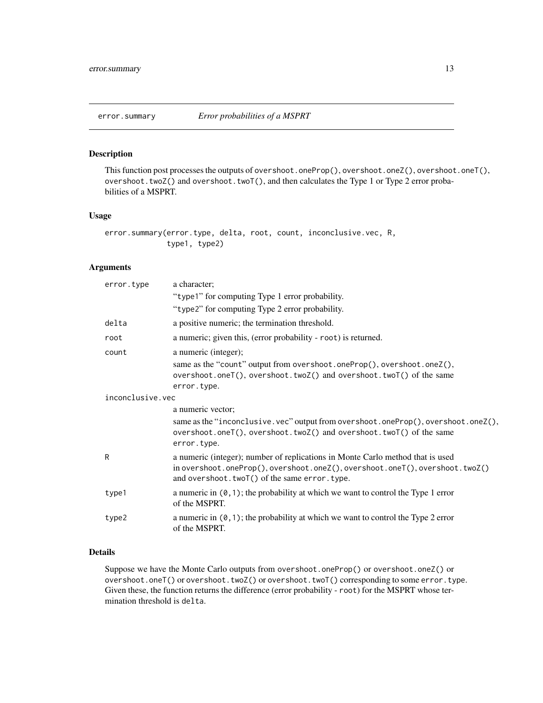<span id="page-12-0"></span>

# Description

This function post processes the outputs of overshoot.oneProp(), overshoot.oneZ(), overshoot.oneT(), overshoot.twoZ() and overshoot.twoT(), and then calculates the Type 1 or Type 2 error probabilities of a MSPRT.

# Usage

error.summary(error.type, delta, root, count, inconclusive.vec, R, type1, type2)

#### Arguments

| error.type       | a character;                                                                                                                                                                                                   |  |
|------------------|----------------------------------------------------------------------------------------------------------------------------------------------------------------------------------------------------------------|--|
|                  | "type1" for computing Type 1 error probability.                                                                                                                                                                |  |
|                  | "type2" for computing Type 2 error probability.                                                                                                                                                                |  |
| delta            | a positive numeric; the termination threshold.                                                                                                                                                                 |  |
| root             | a numeric; given this, (error probability - root) is returned.                                                                                                                                                 |  |
| count            | a numeric (integer);                                                                                                                                                                                           |  |
|                  | same as the "count" output from overshoot.oneProp(), overshoot.oneZ(),<br>overshoot.oneT(), overshoot.twoZ() and overshoot.twoT() of the same<br>error.type.                                                   |  |
| inconclusive.vec |                                                                                                                                                                                                                |  |
|                  | a numeric vector;                                                                                                                                                                                              |  |
|                  | same as the "inconclusive.vec" output from overshoot.oneProp(), overshoot.oneZ(),<br>overshoot.oneT(), overshoot.twoZ() and overshoot.twoT() of the same<br>error.type.                                        |  |
| R                | a numeric (integer); number of replications in Monte Carlo method that is used<br>in overshoot.oneProp(), overshoot.oneZ(), overshoot.oneT(), overshoot.twoZ()<br>and overshoot.twoT() of the same error.type. |  |
| type1            | a numeric in $(0, 1)$ ; the probability at which we want to control the Type 1 error<br>of the MSPRT.                                                                                                          |  |
| type2            | a numeric in $(0, 1)$ ; the probability at which we want to control the Type 2 error<br>of the MSPRT.                                                                                                          |  |
|                  |                                                                                                                                                                                                                |  |

# Details

Suppose we have the Monte Carlo outputs from overshoot.oneProp() or overshoot.oneZ() or overshoot.oneT() or overshoot.twoZ() or overshoot.twoT() corresponding to some error.type. Given these, the function returns the difference (error probability - root) for the MSPRT whose termination threshold is delta.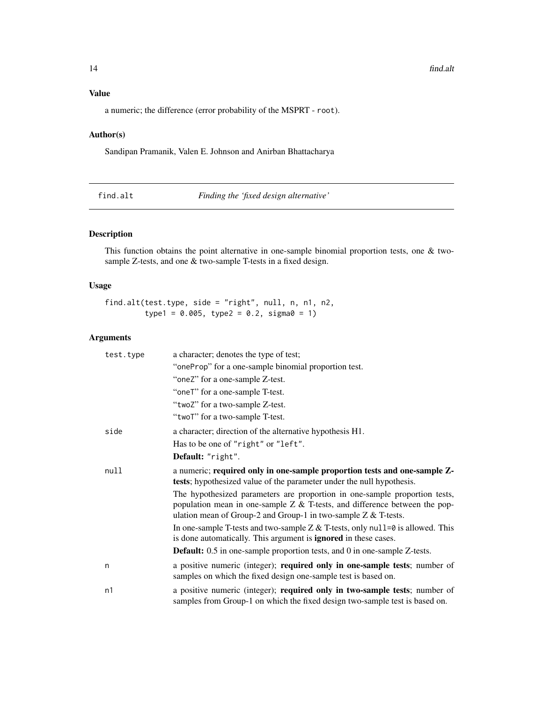# <span id="page-13-0"></span>Value

a numeric; the difference (error probability of the MSPRT - root).

# Author(s)

Sandipan Pramanik, Valen E. Johnson and Anirban Bhattacharya

| find.alt | Finding the 'fixed design alternative' |
|----------|----------------------------------------|
|----------|----------------------------------------|

# Description

This function obtains the point alternative in one-sample binomial proportion tests, one & twosample Z-tests, and one & two-sample T-tests in a fixed design.

#### Usage

find.alt(test.type, side = "right", null, n, n1, n2, type1 =  $0.005$ , type2 =  $0.2$ , sigma $0 = 1$ )

| test.type | a character; denotes the type of test;                                                                                                                                                                                            |
|-----------|-----------------------------------------------------------------------------------------------------------------------------------------------------------------------------------------------------------------------------------|
|           | "oneProp" for a one-sample binomial proportion test.                                                                                                                                                                              |
|           | "oneZ" for a one-sample Z-test.                                                                                                                                                                                                   |
|           | "oneT" for a one-sample T-test.                                                                                                                                                                                                   |
|           | "twoZ" for a two-sample Z-test.                                                                                                                                                                                                   |
|           | "twoT" for a two-sample T-test.                                                                                                                                                                                                   |
| side      | a character; direction of the alternative hypothesis H1.                                                                                                                                                                          |
|           | Has to be one of "right" or "left".                                                                                                                                                                                               |
|           | Default: "right".                                                                                                                                                                                                                 |
| null      | a numeric; required only in one-sample proportion tests and one-sample Z-<br>tests; hypothesized value of the parameter under the null hypothesis.                                                                                |
|           | The hypothesized parameters are proportion in one-sample proportion tests,<br>population mean in one-sample $Z < X$ T-tests, and difference between the pop-<br>ulation mean of Group-2 and Group-1 in two-sample $Z < T$ -tests. |
|           | In one-sample T-tests and two-sample Z $&$ T-tests, only null=0 is allowed. This<br>is done automatically. This argument is <b>ignored</b> in these cases.                                                                        |
|           | <b>Default:</b> 0.5 in one-sample proportion tests, and 0 in one-sample Z-tests.                                                                                                                                                  |
| n         | a positive numeric (integer); required only in one-sample tests; number of<br>samples on which the fixed design one-sample test is based on.                                                                                      |
| n1        | a positive numeric (integer); required only in two-sample tests; number of<br>samples from Group-1 on which the fixed design two-sample test is based on.                                                                         |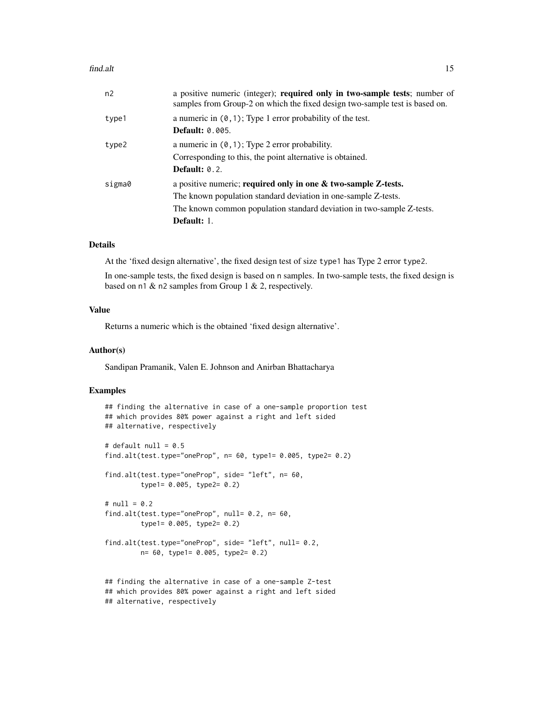#### find.alt 15

| n2     | a positive numeric (integer); required only in two-sample tests; number of<br>samples from Group-2 on which the fixed design two-sample test is based on.                                                                   |
|--------|-----------------------------------------------------------------------------------------------------------------------------------------------------------------------------------------------------------------------------|
| type1  | a numeric in $(0, 1)$ ; Type 1 error probability of the test.<br><b>Default: 0.005.</b>                                                                                                                                     |
| type2  | a numeric in $(0, 1)$ ; Type 2 error probability.<br>Corresponding to this, the point alternative is obtained.<br>Default: $0.2$ .                                                                                          |
| sigma0 | a positive numeric; required only in one $\&$ two-sample Z-tests.<br>The known population standard deviation in one-sample Z-tests.<br>The known common population standard deviation in two-sample Z-tests.<br>Default: 1. |

# Details

At the 'fixed design alternative', the fixed design test of size type1 has Type 2 error type2.

In one-sample tests, the fixed design is based on n samples. In two-sample tests, the fixed design is based on n1 & n2 samples from Group 1 & 2, respectively.

# Value

Returns a numeric which is the obtained 'fixed design alternative'.

#### Author(s)

Sandipan Pramanik, Valen E. Johnson and Anirban Bhattacharya

#### Examples

```
## finding the alternative in case of a one-sample proportion test
## which provides 80% power against a right and left sided
## alternative, respectively
# default null = 0.5find.alt(test.type="oneProp", n= 60, type1= 0.005, type2= 0.2)
find.alt(test.type="oneProp", side= "left", n= 60,
        type1= 0.005, type2= 0.2)
# null = 0.2find.alt(test.type="oneProp", null= 0.2, n= 60,
        type1= 0.005, type2= 0.2)
find.alt(test.type="oneProp", side= "left", null= 0.2,
        n= 60, type1= 0.005, type2= 0.2)
## finding the alternative in case of a one-sample Z-test
## which provides 80% power against a right and left sided
## alternative, respectively
```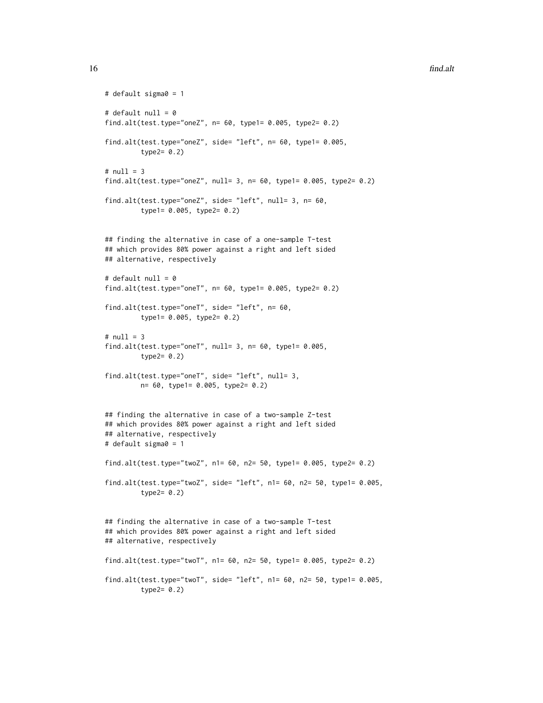#### 16 find.alt **find.alt find.alt find.alt find.alt find.alt find.alt**

```
# default sigma0 = 1
# default null = 0
find.alt(test.type="oneZ", n= 60, type1= 0.005, type2= 0.2)
find.alt(test.type="oneZ", side= "left", n= 60, type1= 0.005,
         type2= 0.2)
# null = 3find.alt(test.type="oneZ", null= 3, n= 60, type1= 0.005, type2= 0.2)
find.alt(test.type="oneZ", side= "left", null= 3, n= 60,
         type1= 0.005, type2= 0.2)
## finding the alternative in case of a one-sample T-test
## which provides 80% power against a right and left sided
## alternative, respectively
# default null = 0find.alt(test.type="oneT", n= 60, type1= 0.005, type2= 0.2)
find.alt(test.type="oneT", side= "left", n= 60,
         type1= 0.005, type2= 0.2)
# null = 3find.alt(test.type="oneT", null= 3, n= 60, type1= 0.005,
         type2= 0.2)
find.alt(test.type="oneT", side= "left", null= 3,
        n= 60, type1= 0.005, type2= 0.2)
## finding the alternative in case of a two-sample Z-test
## which provides 80% power against a right and left sided
## alternative, respectively
# default sigma0 = 1
find.alt(test.type="twoZ", n1= 60, n2= 50, type1= 0.005, type2= 0.2)
find.alt(test.type="twoZ", side= "left", n1= 60, n2= 50, type1= 0.005,
         type2= 0.2)
## finding the alternative in case of a two-sample T-test
## which provides 80% power against a right and left sided
## alternative, respectively
find.alt(test.type="twoT", n1= 60, n2= 50, type1= 0.005, type2= 0.2)
find.alt(test.type="twoT", side= "left", n1= 60, n2= 50, type1= 0.005,
         type2= 0.2)
```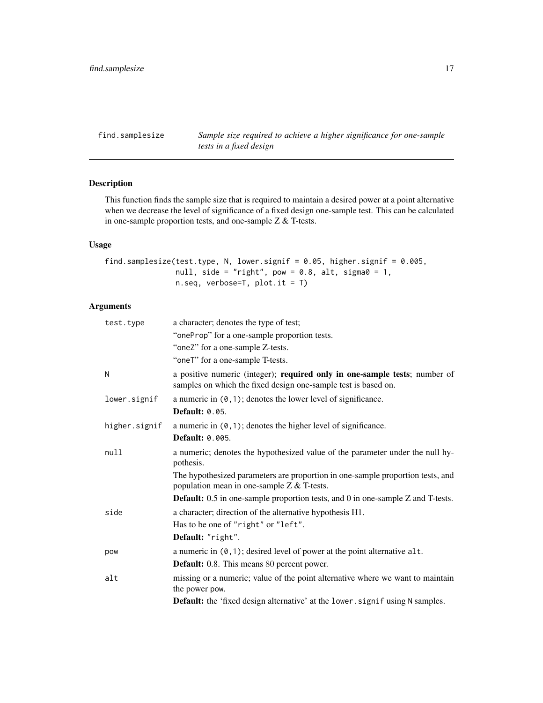<span id="page-16-0"></span>find.samplesize *Sample size required to achieve a higher significance for one-sample tests in a fixed design*

# Description

This function finds the sample size that is required to maintain a desired power at a point alternative when we decrease the level of significance of a fixed design one-sample test. This can be calculated in one-sample proportion tests, and one-sample Z & T-tests.

# Usage

find.samplesize(test.type, N, lower.signif = 0.05, higher.signif = 0.005, null, side = "right", pow =  $0.8$ , alt, sigma $0 = 1$ , n.seq, verbose=T, plot.it = T)

| test.type     | a character; denotes the type of test;                                                                                                       |
|---------------|----------------------------------------------------------------------------------------------------------------------------------------------|
|               | "oneProp" for a one-sample proportion tests.                                                                                                 |
|               | "oneZ" for a one-sample Z-tests.                                                                                                             |
|               | "oneT" for a one-sample T-tests.                                                                                                             |
| N             | a positive numeric (integer); required only in one-sample tests; number of<br>samples on which the fixed design one-sample test is based on. |
| lower.signif  | a numeric in $(0, 1)$ ; denotes the lower level of significance.                                                                             |
|               | <b>Default: 0.05.</b>                                                                                                                        |
| higher.signif | a numeric in $(0, 1)$ ; denotes the higher level of significance.                                                                            |
|               | Default: 0.005.                                                                                                                              |
| null          | a numeric; denotes the hypothesized value of the parameter under the null hy-<br>pothesis.                                                   |
|               | The hypothesized parameters are proportion in one-sample proportion tests, and<br>population mean in one-sample $Z < T$ -tests.              |
|               | <b>Default:</b> 0.5 in one-sample proportion tests, and 0 in one-sample Z and T-tests.                                                       |
| side          | a character; direction of the alternative hypothesis H1.                                                                                     |
|               | Has to be one of "right" or "left".                                                                                                          |
|               | Default: "right".                                                                                                                            |
| pow           | a numeric in $(0, 1)$ ; desired level of power at the point alternative alt.                                                                 |
|               | <b>Default:</b> 0.8. This means 80 percent power.                                                                                            |
| alt           | missing or a numeric; value of the point alternative where we want to maintain<br>the power pow.                                             |
|               | <b>Default:</b> the 'fixed design alternative' at the lower. signifusing N samples.                                                          |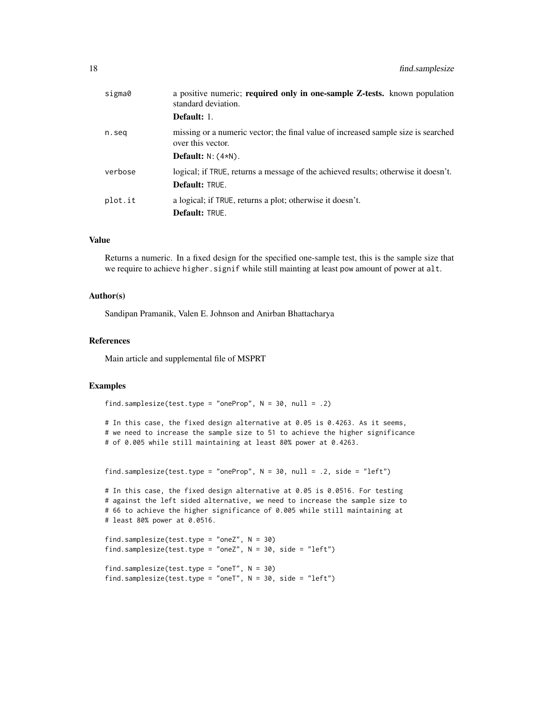| sigma0  | a positive numeric; required only in one-sample Z-tests. known population<br>standard deviation.                                       |
|---------|----------------------------------------------------------------------------------------------------------------------------------------|
|         | Default: 1.                                                                                                                            |
| n.seg   | missing or a numeric vector; the final value of increased sample size is searched<br>over this vector.<br><b>Default:</b> $N: (4*N)$ . |
| verbose | logical; if TRUE, returns a message of the achieved results; otherwise it doesn't.<br>Default: TRUE.                                   |
| plot.it | a logical; if TRUE, returns a plot; otherwise it doesn't.<br>Default: TRUE.                                                            |

# Value

Returns a numeric. In a fixed design for the specified one-sample test, this is the sample size that we require to achieve higher. signif while still mainting at least pow amount of power at alt.

#### Author(s)

Sandipan Pramanik, Valen E. Johnson and Anirban Bhattacharya

#### References

Main article and supplemental file of MSPRT

#### Examples

find.samplesize(test.type = "oneProp", N = 30, null = .2)

```
# In this case, the fixed design alternative at 0.05 is 0.4263. As it seems,
# we need to increase the sample size to 51 to achieve the higher significance
# of 0.005 while still maintaining at least 80% power at 0.4263.
```

```
find.samplesize(test.type = "oneProp", N = 30, null = .2, side = "left")
```

```
# In this case, the fixed design alternative at 0.05 is 0.0516. For testing
# against the left sided alternative, we need to increase the sample size to
# 66 to achieve the higher significance of 0.005 while still maintaining at
# least 80% power at 0.0516.
```

```
find.samplesize(test.type = "oneZ", N = 30)
find.samplesize(test.type = "oneZ", N = 30, side = "left")
find.samplesize(test.type = "oneT", N = 30)
```

```
find.samplesize(test.type = "oneT", N = 30, side = "left")
```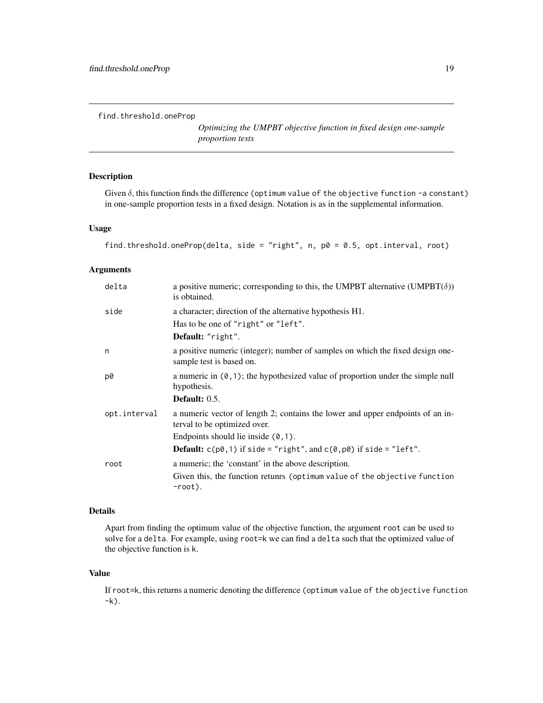<span id="page-18-0"></span>find.threshold.oneProp

*Optimizing the UMPBT objective function in fixed design one-sample proportion tests*

# Description

Given  $\delta$ , this function finds the difference (optimum value of the objective function -a constant) in one-sample proportion tests in a fixed design. Notation is as in the supplemental information.

#### Usage

```
find.threshold.oneProp(delta, side = "right", n, p0 = 0.5, opt.interval, root)
```
## Arguments

| delta        | a positive numeric; corresponding to this, the UMPBT alternative (UMPBT( $\delta$ ))<br>is obtained.           |
|--------------|----------------------------------------------------------------------------------------------------------------|
| side         | a character; direction of the alternative hypothesis H1.                                                       |
|              | Has to be one of "right" or "left".                                                                            |
|              | Default: "right".                                                                                              |
| n            | a positive numeric (integer); number of samples on which the fixed design one-<br>sample test is based on.     |
| p0           | a numeric in $(0, 1)$ ; the hypothesized value of proportion under the simple null<br>hypothesis.              |
|              | Default: $0.5$ .                                                                                               |
| opt.interval | a numeric vector of length 2; contains the lower and upper endpoints of an in-<br>terval to be optimized over. |
|              | Endpoints should lie inside $(0, 1)$ .                                                                         |
|              | <b>Default:</b> $c(p\emptyset, 1)$ if side = "right", and $c(\emptyset, p\emptyset)$ if side = "left".         |
| root         | a numeric; the 'constant' in the above description.                                                            |
|              | Given this, the function retunrs (optimum value of the objective function<br>$-root).$                         |

#### Details

Apart from finding the optimum value of the objective function, the argument root can be used to solve for a delta. For example, using root=k we can find a delta such that the optimized value of the objective function is k.

#### Value

If root=k, this returns a numeric denoting the difference (optimum value of the objective function -k).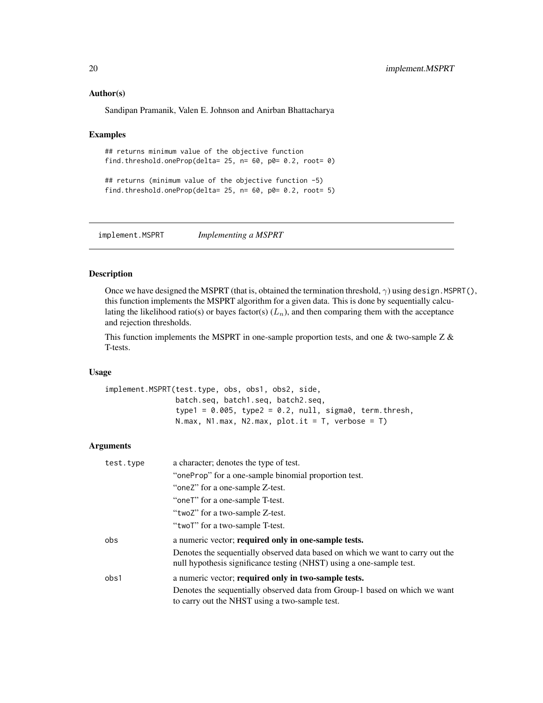#### <span id="page-19-0"></span>Author(s)

Sandipan Pramanik, Valen E. Johnson and Anirban Bhattacharya

#### Examples

## returns minimum value of the objective function find.threshold.oneProp(delta= 25, n= 60, p0= 0.2, root= 0)

## returns (minimum value of the objective function -5) find.threshold.oneProp(delta= 25, n= 60, p0= 0.2, root= 5)

implement.MSPRT *Implementing a MSPRT*

# Description

Once we have designed the MSPRT (that is, obtained the termination threshold,  $\gamma$ ) using design. MSPRT(), this function implements the MSPRT algorithm for a given data. This is done by sequentially calculating the likelihood ratio(s) or bayes factor(s)  $(L_n)$ , and then comparing them with the acceptance and rejection thresholds.

This function implements the MSPRT in one-sample proportion tests, and one  $\&$  two-sample Z  $\&$ T-tests.

#### Usage

implement.MSPRT(test.type, obs, obs1, obs2, side, batch.seq, batch1.seq, batch2.seq, type1 =  $0.005$ , type2 =  $0.2$ , null, sigma0, term.thresh, N.max, N1.max, N2.max, plot.it = T, verbose = T)

| test.type | a character; denotes the type of test.                                                                                                                 |
|-----------|--------------------------------------------------------------------------------------------------------------------------------------------------------|
|           | "oneProp" for a one-sample binomial proportion test.                                                                                                   |
|           | "oneZ" for a one-sample Z-test.                                                                                                                        |
|           | "oneT" for a one-sample T-test.                                                                                                                        |
|           | "twoZ" for a two-sample Z-test.                                                                                                                        |
|           | "twoT" for a two-sample T-test.                                                                                                                        |
| obs       | a numeric vector; required only in one-sample tests.                                                                                                   |
|           | Denotes the sequentially observed data based on which we want to carry out the<br>null hypothesis significance testing (NHST) using a one-sample test. |
| obs1      | a numeric vector; required only in two-sample tests.                                                                                                   |
|           | Denotes the sequentially observed data from Group-1 based on which we want<br>to carry out the NHST using a two-sample test.                           |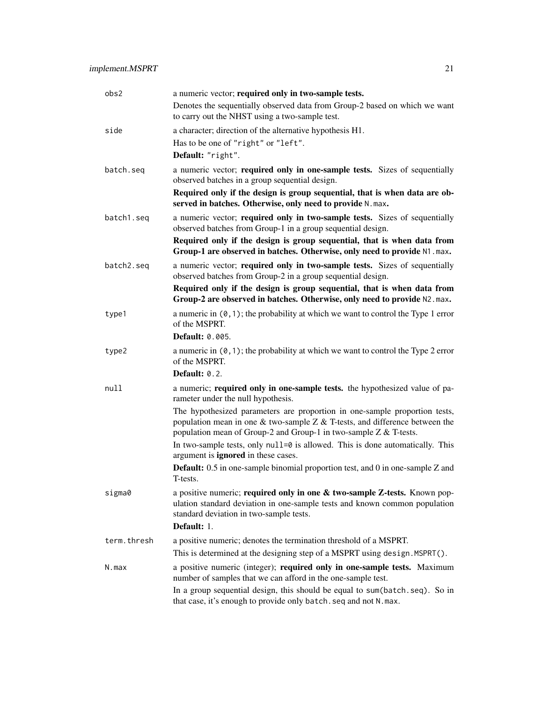| obs2        | a numeric vector; required only in two-sample tests.                                                                                                                                                                                    |
|-------------|-----------------------------------------------------------------------------------------------------------------------------------------------------------------------------------------------------------------------------------------|
|             | Denotes the sequentially observed data from Group-2 based on which we want<br>to carry out the NHST using a two-sample test.                                                                                                            |
| side        | a character; direction of the alternative hypothesis H1.                                                                                                                                                                                |
|             | Has to be one of "right" or "left".                                                                                                                                                                                                     |
|             | Default: "right".                                                                                                                                                                                                                       |
| batch.seq   | a numeric vector; required only in one-sample tests. Sizes of sequentially<br>observed batches in a group sequential design.                                                                                                            |
|             | Required only if the design is group sequential, that is when data are ob-<br>served in batches. Otherwise, only need to provide N. max.                                                                                                |
| batch1.seq  | a numeric vector; required only in two-sample tests. Sizes of sequentially<br>observed batches from Group-1 in a group sequential design.                                                                                               |
|             | Required only if the design is group sequential, that is when data from<br>Group-1 are observed in batches. Otherwise, only need to provide N1 . max.                                                                                   |
| batch2.seq  | a numeric vector; required only in two-sample tests. Sizes of sequentially<br>observed batches from Group-2 in a group sequential design.                                                                                               |
|             | Required only if the design is group sequential, that is when data from<br>Group-2 are observed in batches. Otherwise, only need to provide N2.max.                                                                                     |
| type1       | a numeric in $(0, 1)$ ; the probability at which we want to control the Type 1 error<br>of the MSPRT.                                                                                                                                   |
|             | <b>Default: 0.005.</b>                                                                                                                                                                                                                  |
| type2       | a numeric in $(0, 1)$ ; the probability at which we want to control the Type 2 error<br>of the MSPRT.                                                                                                                                   |
|             | Default: $0.2$ .                                                                                                                                                                                                                        |
| null        | a numeric; required only in one-sample tests. the hypothesized value of pa-<br>rameter under the null hypothesis.                                                                                                                       |
|             | The hypothesized parameters are proportion in one-sample proportion tests,<br>population mean in one $\&$ two-sample Z $\&$ T-tests, and difference between the<br>population mean of Group-2 and Group-1 in two-sample $Z < T$ -tests. |
|             | In two-sample tests, only $null=0$ is allowed. This is done automatically. This<br>argument is <b>ignored</b> in these cases.                                                                                                           |
|             | <b>Default:</b> 0.5 in one-sample binomial proportion test, and 0 in one-sample Z and<br>T-tests.                                                                                                                                       |
| sigma0      | a positive numeric; required only in one & two-sample Z-tests. Known pop-<br>ulation standard deviation in one-sample tests and known common population<br>standard deviation in two-sample tests.                                      |
|             | Default: 1.                                                                                                                                                                                                                             |
| term.thresh | a positive numeric; denotes the termination threshold of a MSPRT.                                                                                                                                                                       |
|             | This is determined at the designing step of a MSPRT using design. MSPRT().                                                                                                                                                              |
| N.max       | a positive numeric (integer); required only in one-sample tests. Maximum<br>number of samples that we can afford in the one-sample test.                                                                                                |
|             | In a group sequential design, this should be equal to sum(batch.seq). So in<br>that case, it's enough to provide only batch. seq and not N. max.                                                                                        |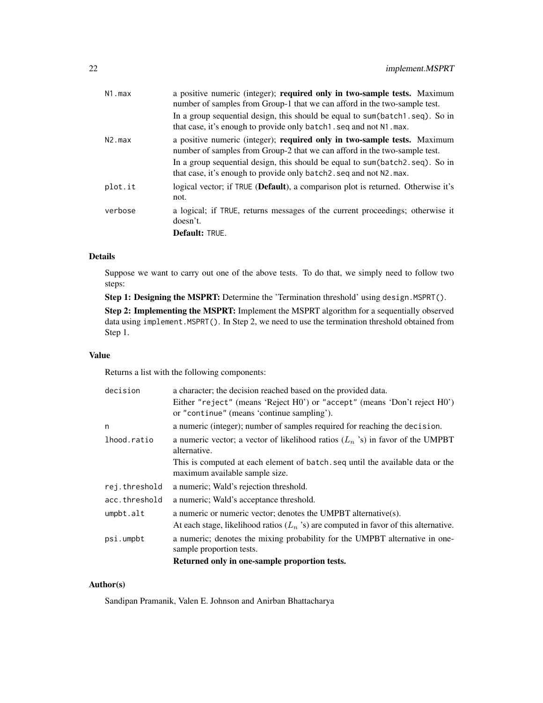| N1.max  | a positive numeric (integer); required only in two-sample tests. Maximum<br>number of samples from Group-1 that we can afford in the two-sample test.  |
|---------|--------------------------------------------------------------------------------------------------------------------------------------------------------|
|         | In a group sequential design, this should be equal to sum (batch 1. seq). So in<br>that case, it's enough to provide only batch1. seq and not N1. max. |
| N2.max  | a positive numeric (integer); required only in two-sample tests. Maximum<br>number of samples from Group-2 that we can afford in the two-sample test.  |
|         | In a group sequential design, this should be equal to sum (batch2.seq). So in<br>that case, it's enough to provide only batch2. seq and not N2. max.   |
| plot.it | logical vector; if TRUE (Default), a comparison plot is returned. Otherwise it's<br>not.                                                               |
| verbose | a logical; if TRUE, returns messages of the current proceedings; otherwise it<br>doesn't.                                                              |
|         | <b>Default: TRUE.</b>                                                                                                                                  |
|         |                                                                                                                                                        |

# Details

Suppose we want to carry out one of the above tests. To do that, we simply need to follow two steps:

Step 1: Designing the MSPRT: Determine the 'Termination threshold' using design. MSPRT().

Step 2: Implementing the MSPRT: Implement the MSPRT algorithm for a sequentially observed data using implement.MSPRT(). In Step 2, we need to use the termination threshold obtained from Step 1.

# Value

Returns a list with the following components:

| decision      | a character; the decision reached based on the provided data.                                                           |
|---------------|-------------------------------------------------------------------------------------------------------------------------|
|               | Either "reject" (means 'Reject H0') or "accept" (means 'Don't reject H0')<br>or "continue" (means 'continue sampling'). |
| n             | a numeric (integer); number of samples required for reaching the decision.                                              |
| lhood.ratio   | a numeric vector; a vector of likelihood ratios $(L_n s)$ in favor of the UMPBT<br>alternative.                         |
|               | This is computed at each element of batch, seq until the available data or the<br>maximum available sample size.        |
| rej.threshold | a numeric; Wald's rejection threshold.                                                                                  |
| acc.threshold | a numeric; Wald's acceptance threshold.                                                                                 |
| $umbb$ .alt   | a numeric or numeric vector; denotes the UMPBT alternative(s).                                                          |
|               | At each stage, likelihood ratios $(L_n \rvert s)$ are computed in favor of this alternative.                            |
| psi.umpbt     | a numeric; denotes the mixing probability for the UMPBT alternative in one-<br>sample proportion tests.                 |
|               | Returned only in one-sample proportion tests.                                                                           |

# Author(s)

Sandipan Pramanik, Valen E. Johnson and Anirban Bhattacharya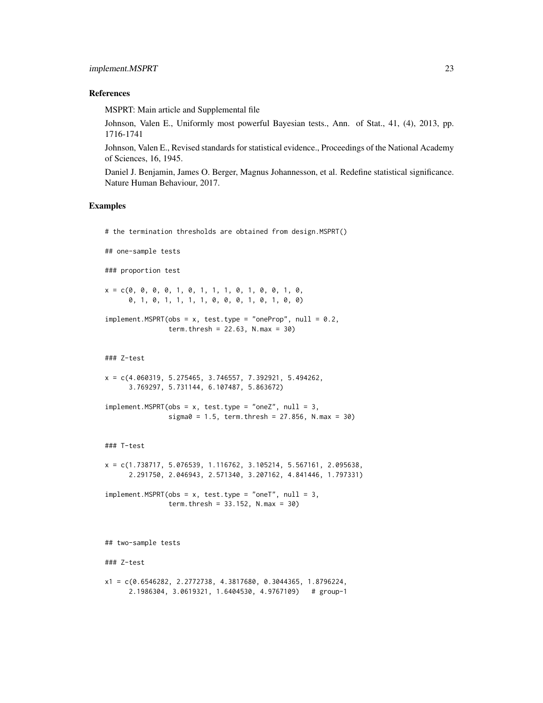#### References

MSPRT: Main article and Supplemental file

Johnson, Valen E., Uniformly most powerful Bayesian tests., Ann. of Stat., 41, (4), 2013, pp. 1716-1741

Johnson, Valen E., Revised standards for statistical evidence., Proceedings of the National Academy of Sciences, 16, 1945.

Daniel J. Benjamin, James O. Berger, Magnus Johannesson, et al. Redefine statistical significance. Nature Human Behaviour, 2017.

#### Examples

```
# the termination thresholds are obtained from design.MSPRT()
```
## one-sample tests

### proportion test

 $x = c(0, 0, 0, 0, 1, 0, 1, 1, 1, 0, 1, 0, 0, 1, 0,$ 0, 1, 0, 1, 1, 1, 1, 0, 0, 0, 1, 0, 1, 0, 0)

```
implement.MSPRT(obs = x, test_type = "oneProp", null = 0.2,term.thresh = 22.63, N.max = 30)
```
#### ### Z-test

```
x = c(4.060319, 5.275465, 3.746557, 7.392921, 5.494262,3.769297, 5.731144, 6.107487, 5.863672)
```

```
implement.MSPRT(obs = x, test_type = "oneZ", null = 3,sigma0 = 1.5, term.thresh = 27.856, N.max = 30)
```
#### ### T-test

x = c(1.738717, 5.076539, 1.116762, 3.105214, 5.567161, 2.095638, 2.291750, 2.046943, 2.571340, 3.207162, 4.841446, 1.797331)  $implement.MSPRT(obs = x, test_type = "oneT", null = 3,$ 

```
term.thresh = 33.152, N.max = 30)
```
## two-sample tests

### Z-test

x1 = c(0.6546282, 2.2772738, 4.3817680, 0.3044365, 1.8796224, 2.1986304, 3.0619321, 1.6404530, 4.9767109) # group-1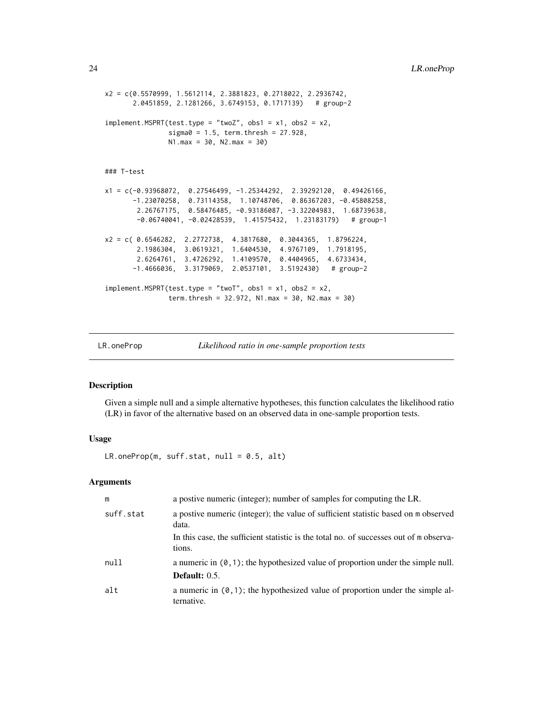```
x2 = c(0.5570999, 1.5612114, 2.3881823, 0.2718022, 2.2936742,
      2.0451859, 2.1281266, 3.6749153, 0.1717139) # group-2
implement.MSPRT(test.type = "twoZ", obs1 = x1, obs2 = x2,sigma0 = 1.5, term.thresh = 27.928,
               N1.max = 30, N2.max = 30)### T-test
x1 = c(-0.93968072, 0.27546499, -1.25344292, 2.39292120, 0.49426166,
      -1.23070258, 0.73114358, 1.10748706, 0.86367203, -0.45808258,
       2.26767175, 0.58476485, -0.93186087, -3.32204983, 1.68739638,
       -0.06740041, -0.02428539, 1.41575432, 1.23183179) # group-1
x2 = c( 0.6546282, 2.2772738, 4.3817680, 0.3044365, 1.8796224,
       2.1986304, 3.0619321, 1.6404530, 4.9767109, 1.7918195,
       2.6264761, 3.4726292, 1.4109570, 0.4404965, 4.6733434,
      -1.4666036, 3.3179069, 2.0537101, 3.5192430) # group-2
implement.MSPRT(test-type = "twoT", obs1 = x1, obs2 = x2,term.thresh = 32.972, N1.max = 30, N2.max = 30)
```

| LR.oneProp | Likelihood ratio in one-sample proportion tests |
|------------|-------------------------------------------------|
|------------|-------------------------------------------------|

#### Description

Given a simple null and a simple alternative hypotheses, this function calculates the likelihood ratio (LR) in favor of the alternative based on an observed data in one-sample proportion tests.

# Usage

 $LR.open$ (m, suff.stat, null = 0.5, alt)

| m         | a postive numeric (integer); number of samples for computing the LR.                                    |
|-----------|---------------------------------------------------------------------------------------------------------|
| suff.stat | a postive numeric (integer); the value of sufficient statistic based on m observed<br>data.             |
|           | In this case, the sufficient statistic is the total no. of successes out of m observa-<br>tions.        |
| null      | a numeric in $(0, 1)$ ; the hypothesized value of proportion under the simple null.<br>Default: $0.5$ . |
| alt       | a numeric in $(0,1)$ ; the hypothesized value of proportion under the simple al-<br>ternative.          |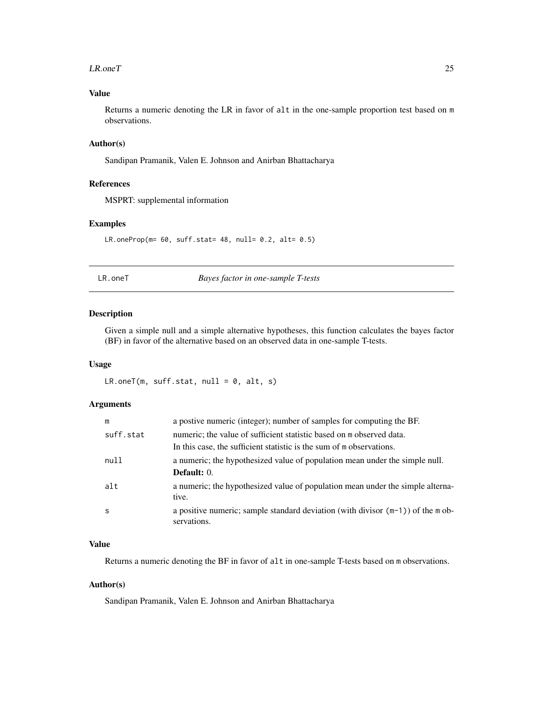#### <span id="page-24-0"></span> $LR.oneT$  25

# Value

Returns a numeric denoting the LR in favor of alt in the one-sample proportion test based on m observations.

# Author(s)

Sandipan Pramanik, Valen E. Johnson and Anirban Bhattacharya

#### References

MSPRT: supplemental information

#### Examples

 $LR.open(m= 60, suffix5$ .stat= 48, null= 0.2, alt= 0.5)

LR.oneT *Bayes factor in one-sample T-tests*

# Description

Given a simple null and a simple alternative hypotheses, this function calculates the bayes factor (BF) in favor of the alternative based on an observed data in one-sample T-tests.

# Usage

 $LR.oneT(m, surf.stat, null = 0, alt, s)$ 

## Arguments

| m         | a postive numeric (integer); number of samples for computing the BF.                              |
|-----------|---------------------------------------------------------------------------------------------------|
| suff.stat | numeric; the value of sufficient statistic based on m observed data.                              |
|           | In this case, the sufficient statistic is the sum of m observations.                              |
| null      | a numeric; the hypothesized value of population mean under the simple null.                       |
|           | <b>Default:</b> 0.                                                                                |
| alt       | a numeric; the hypothesized value of population mean under the simple alterna-<br>tive.           |
| -S        | a positive numeric; sample standard deviation (with divisor $(m-1)$ ) of the m ob-<br>servations. |

## Value

Returns a numeric denoting the BF in favor of alt in one-sample T-tests based on m observations.

# Author(s)

Sandipan Pramanik, Valen E. Johnson and Anirban Bhattacharya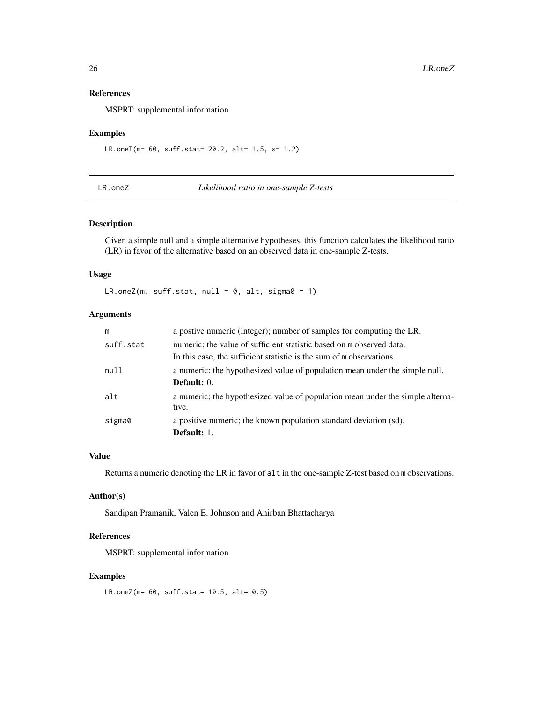# References

MSPRT: supplemental information

#### Examples

LR.oneT(m= 60, suff.stat= 20.2, alt= 1.5, s= 1.2)

LR.oneZ *Likelihood ratio in one-sample Z-tests*

#### Description

Given a simple null and a simple alternative hypotheses, this function calculates the likelihood ratio (LR) in favor of the alternative based on an observed data in one-sample Z-tests.

# Usage

 $LR.\text{oneZ(m, suffix, null = 0, alt, sigma = 1)}$ 

# Arguments

| m         | a postive numeric (integer); number of samples for computing the LR.                    |
|-----------|-----------------------------------------------------------------------------------------|
| suff.stat | numeric; the value of sufficient statistic based on m observed data.                    |
|           | In this case, the sufficient statistic is the sum of m observations                     |
| null      | a numeric; the hypothesized value of population mean under the simple null.             |
|           | <b>Default:</b> 0.                                                                      |
| alt       | a numeric; the hypothesized value of population mean under the simple alterna-<br>tive. |
| sigma0    | a positive numeric; the known population standard deviation (sd).<br>Default: 1.        |

## Value

Returns a numeric denoting the LR in favor of alt in the one-sample Z-test based on m observations.

#### Author(s)

Sandipan Pramanik, Valen E. Johnson and Anirban Bhattacharya

#### References

MSPRT: supplemental information

# Examples

 $LR.\text{oneZ(m= 60, suffix51 at = 10.5, alt = 0.5)}$ 

<span id="page-25-0"></span>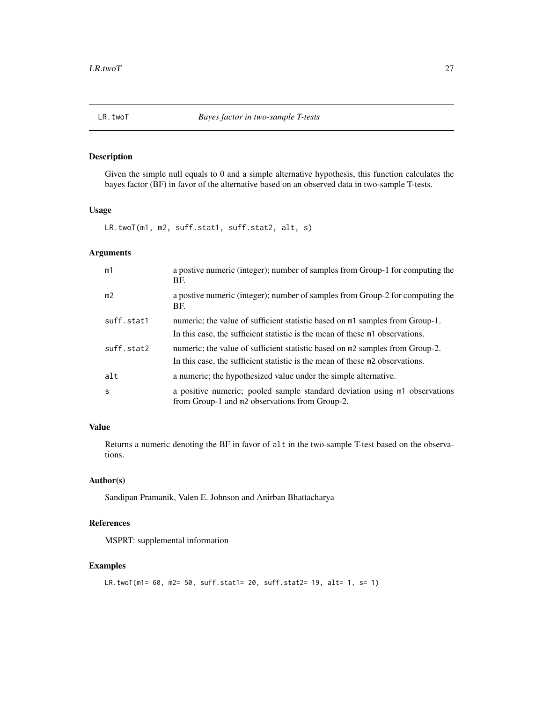<span id="page-26-0"></span>

# Description

Given the simple null equals to 0 and a simple alternative hypothesis, this function calculates the bayes factor (BF) in favor of the alternative based on an observed data in two-sample T-tests.

# Usage

LR.twoT(m1, m2, suff.stat1, suff.stat2, alt, s)

#### Arguments

| m1             | a postive numeric (integer); number of samples from Group-1 for computing the<br>BF.                                                                         |
|----------------|--------------------------------------------------------------------------------------------------------------------------------------------------------------|
| m <sub>2</sub> | a postive numeric (integer); number of samples from Group-2 for computing the<br>BF.                                                                         |
| suff.stat1     | numeric; the value of sufficient statistic based on m1 samples from Group-1.<br>In this case, the sufficient statistic is the mean of these m1 observations. |
| suff.stat2     | numeric; the value of sufficient statistic based on m2 samples from Group-2.<br>In this case, the sufficient statistic is the mean of these m2 observations. |
| alt            | a numeric; the hypothesized value under the simple alternative.                                                                                              |
| S              | a positive numeric; pooled sample standard deviation using m1 observations<br>from Group-1 and m2 observations from Group-2.                                 |

# Value

Returns a numeric denoting the BF in favor of alt in the two-sample T-test based on the observations.

#### Author(s)

Sandipan Pramanik, Valen E. Johnson and Anirban Bhattacharya

# References

MSPRT: supplemental information

# Examples

```
LR.twoT(m1= 60, m2= 50, suff.stat1= 20, suff.stat2= 19, alt= 1, s= 1)
```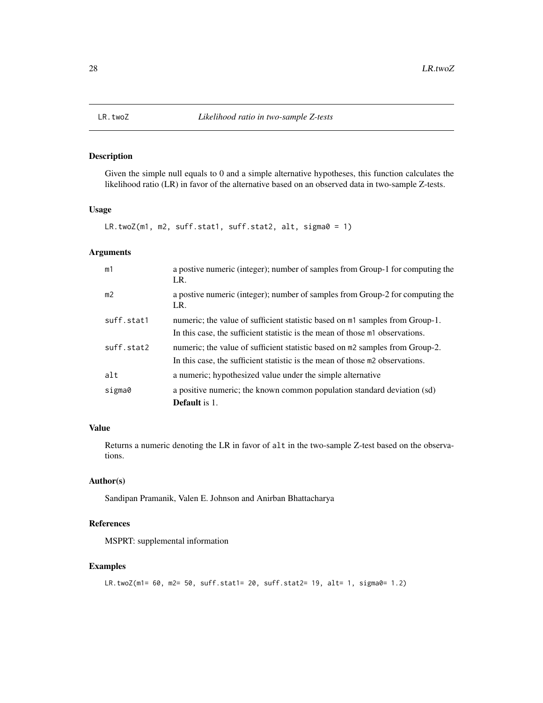<span id="page-27-0"></span>

# Description

Given the simple null equals to 0 and a simple alternative hypotheses, this function calculates the likelihood ratio (LR) in favor of the alternative based on an observed data in two-sample Z-tests.

# Usage

```
LR.twoZ(m1, m2, suff.stat1, suff.stat2, alt, sigma0 = 1)
```
# Arguments

| m1             | a postive numeric (integer); number of samples from Group-1 for computing the<br>LR.                                                                         |
|----------------|--------------------------------------------------------------------------------------------------------------------------------------------------------------|
| m <sub>2</sub> | a postive numeric (integer); number of samples from Group-2 for computing the<br>LR.                                                                         |
| suff.stat1     | numeric; the value of sufficient statistic based on m1 samples from Group-1.<br>In this case, the sufficient statistic is the mean of those m1 observations. |
| suff.stat2     | numeric; the value of sufficient statistic based on m2 samples from Group-2.<br>In this case, the sufficient statistic is the mean of those m2 observations. |
| alt            | a numeric; hypothesized value under the simple alternative                                                                                                   |
| sigma0         | a positive numeric; the known common population standard deviation (sd)<br><b>Default</b> is 1.                                                              |

# Value

Returns a numeric denoting the LR in favor of alt in the two-sample Z-test based on the observations.

#### Author(s)

Sandipan Pramanik, Valen E. Johnson and Anirban Bhattacharya

# References

MSPRT: supplemental information

# Examples

```
LR.twoZ(m1= 60, m2= 50, suff.stat1= 20, suff.stat2= 19, alt= 1, sigma0= 1.2)
```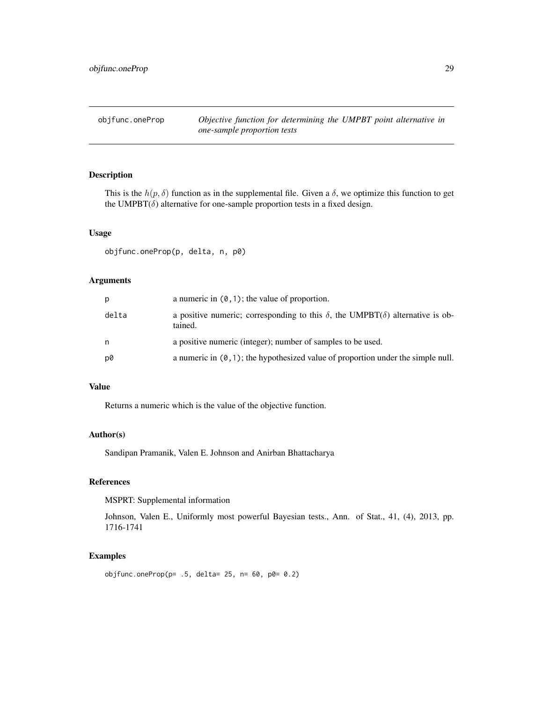<span id="page-28-0"></span>objfunc.oneProp *Objective function for determining the UMPBT point alternative in one-sample proportion tests*

# Description

This is the  $h(p, \delta)$  function as in the supplemental file. Given a  $\delta$ , we optimize this function to get the UMPBT( $\delta$ ) alternative for one-sample proportion tests in a fixed design.

## Usage

objfunc.oneProp(p, delta, n, p0)

#### Arguments

| p     | a numeric in $(0, 1)$ ; the value of proportion.                                                         |
|-------|----------------------------------------------------------------------------------------------------------|
| delta | a positive numeric; corresponding to this $\delta$ , the UMPBT( $\delta$ ) alternative is ob-<br>tained. |
| n     | a positive numeric (integer); number of samples to be used.                                              |
| p0    | a numeric in $(0, 1)$ ; the hypothesized value of proportion under the simple null.                      |

#### Value

Returns a numeric which is the value of the objective function.

# Author(s)

Sandipan Pramanik, Valen E. Johnson and Anirban Bhattacharya

#### References

MSPRT: Supplemental information

Johnson, Valen E., Uniformly most powerful Bayesian tests., Ann. of Stat., 41, (4), 2013, pp. 1716-1741

# Examples

 $objfunc.oneProp(p= .5, delta= 25, n= 60, p0= 0.2)$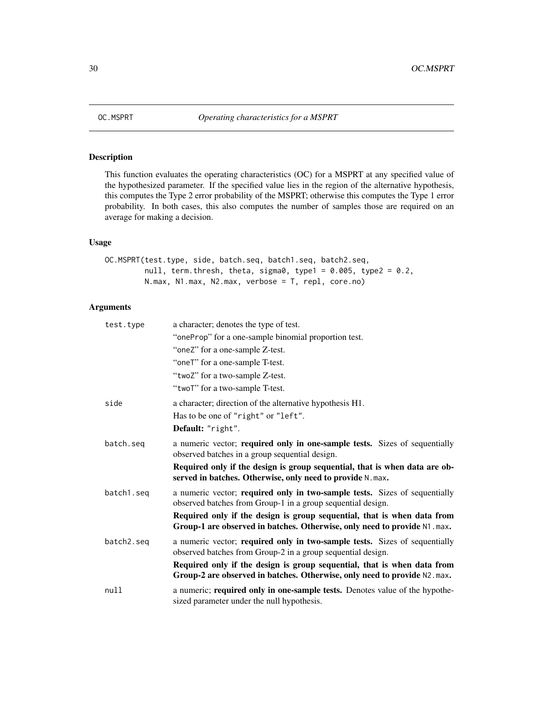<span id="page-29-0"></span>

# Description

This function evaluates the operating characteristics (OC) for a MSPRT at any specified value of the hypothesized parameter. If the specified value lies in the region of the alternative hypothesis, this computes the Type 2 error probability of the MSPRT; otherwise this computes the Type 1 error probability. In both cases, this also computes the number of samples those are required on an average for making a decision.

#### Usage

OC.MSPRT(test.type, side, batch.seq, batch1.seq, batch2.seq, null, term.thresh, theta, sigma0, type1 =  $0.005$ , type2 =  $0.2$ , N.max, N1.max, N2.max, verbose = T, repl, core.no)

| test.type  | a character; denotes the type of test.                                                                                                               |
|------------|------------------------------------------------------------------------------------------------------------------------------------------------------|
|            | "oneProp" for a one-sample binomial proportion test.                                                                                                 |
|            | "oneZ" for a one-sample Z-test.                                                                                                                      |
|            | "oneT" for a one-sample T-test.                                                                                                                      |
|            | "twoZ" for a two-sample Z-test.                                                                                                                      |
|            | "twoT" for a two-sample T-test.                                                                                                                      |
| side       | a character; direction of the alternative hypothesis H1.                                                                                             |
|            | Has to be one of "right" or "left".                                                                                                                  |
|            | Default: "right".                                                                                                                                    |
| batch.seq  | a numeric vector; required only in one-sample tests. Sizes of sequentially<br>observed batches in a group sequential design.                         |
|            | Required only if the design is group sequential, that is when data are ob-<br>served in batches. Otherwise, only need to provide N. max.             |
| batch1.seq | a numeric vector; required only in two-sample tests. Sizes of sequentially<br>observed batches from Group-1 in a group sequential design.            |
|            | Required only if the design is group sequential, that is when data from<br>Group-1 are observed in batches. Otherwise, only need to provide N1. max. |
| batch2.seg | a numeric vector; required only in two-sample tests. Sizes of sequentially<br>observed batches from Group-2 in a group sequential design.            |
|            | Required only if the design is group sequential, that is when data from<br>Group-2 are observed in batches. Otherwise, only need to provide N2.max.  |
| null       | a numeric; required only in one-sample tests. Denotes value of the hypothe-<br>sized parameter under the null hypothesis.                            |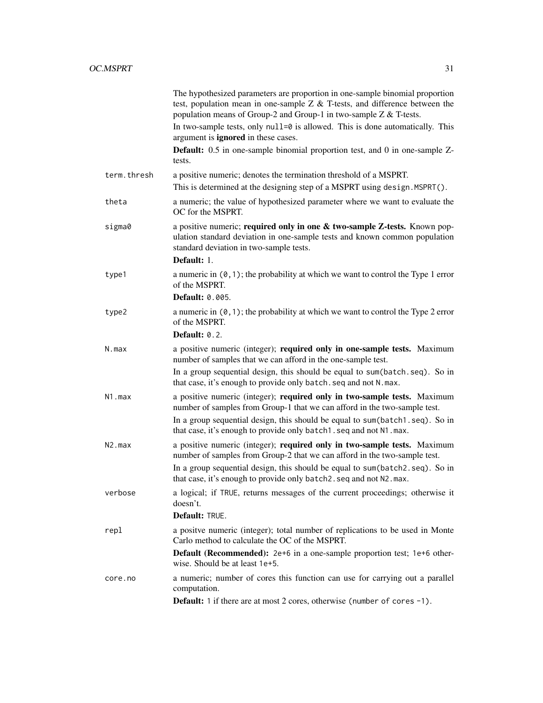|             | The hypothesized parameters are proportion in one-sample binomial proportion<br>test, population mean in one-sample $Z < X$ T-tests, and difference between the<br>population means of Group-2 and Group-1 in two-sample $Z < T$ -tests. |
|-------------|------------------------------------------------------------------------------------------------------------------------------------------------------------------------------------------------------------------------------------------|
|             | In two-sample tests, only $null=0$ is allowed. This is done automatically. This<br>argument is <b>ignored</b> in these cases.                                                                                                            |
|             | <b>Default:</b> 0.5 in one-sample binomial proportion test, and 0 in one-sample Z-<br>tests.                                                                                                                                             |
| term.thresh | a positive numeric; denotes the termination threshold of a MSPRT.<br>This is determined at the designing step of a MSPRT using design. MSPRT().                                                                                          |
| theta       | a numeric; the value of hypothesized parameter where we want to evaluate the<br>OC for the MSPRT.                                                                                                                                        |
| sigma0      | a positive numeric; required only in one & two-sample Z-tests. Known pop-<br>ulation standard deviation in one-sample tests and known common population<br>standard deviation in two-sample tests.<br>Default: 1.                        |
| type1       | a numeric in $(0, 1)$ ; the probability at which we want to control the Type 1 error<br>of the MSPRT.                                                                                                                                    |
|             | <b>Default: 0.005.</b>                                                                                                                                                                                                                   |
| type2       | a numeric in $(0, 1)$ ; the probability at which we want to control the Type 2 error<br>of the MSPRT.                                                                                                                                    |
|             | Default: $0.2$ .                                                                                                                                                                                                                         |
| N.max       | a positive numeric (integer); required only in one-sample tests. Maximum<br>number of samples that we can afford in the one-sample test.                                                                                                 |
|             | In a group sequential design, this should be equal to sum(batch.seq). So in<br>that case, it's enough to provide only batch. seq and not N. max.                                                                                         |
| N1.max      | a positive numeric (integer); required only in two-sample tests. Maximum<br>number of samples from Group-1 that we can afford in the two-sample test.                                                                                    |
|             | In a group sequential design, this should be equal to sum(batch1.seq). So in<br>that case, it's enough to provide only batch1. seq and not N1. max.                                                                                      |
| $N2$ . max  | a positive numeric (integer); required only in two-sample tests. Maximum<br>number of samples from Group-2 that we can afford in the two-sample test.                                                                                    |
|             | In a group sequential design, this should be equal to sum(batch2.seq). So in<br>that case, it's enough to provide only batch2. seq and not N2. max.                                                                                      |
| verbose     | a logical; if TRUE, returns messages of the current proceedings; otherwise it<br>doesn't.                                                                                                                                                |
|             | Default: TRUE.                                                                                                                                                                                                                           |
| repl        | a positve numeric (integer); total number of replications to be used in Monte<br>Carlo method to calculate the OC of the MSPRT.                                                                                                          |
|             | Default (Recommended): 2e+6 in a one-sample proportion test; 1e+6 other-<br>wise. Should be at least 1e+5.                                                                                                                               |
| core.no     | a numeric; number of cores this function can use for carrying out a parallel<br>computation.<br>Default: 1 if there are at most 2 cores, otherwise (number of cores -1).                                                                 |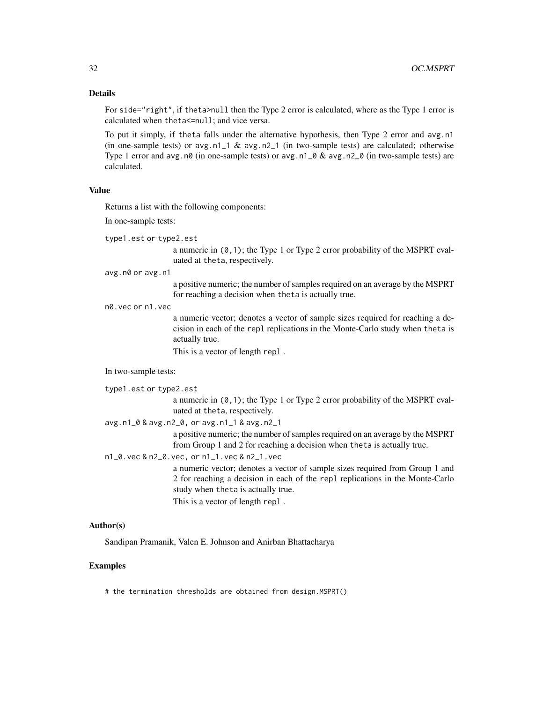# Details

For side="right", if theta>null then the Type 2 error is calculated, where as the Type 1 error is calculated when theta<=null; and vice versa.

To put it simply, if theta falls under the alternative hypothesis, then Type 2 error and avg.n1 (in one-sample tests) or avg.n1\_1 & avg.n2\_1 (in two-sample tests) are calculated; otherwise Type 1 error and avg.n0 (in one-sample tests) or avg.n1\_0 & avg.n2\_0 (in two-sample tests) are calculated.

#### Value

Returns a list with the following components:

In one-sample tests:

type1.est or type2.est

a numeric in (0,1); the Type 1 or Type 2 error probability of the MSPRT evaluated at theta, respectively.

avg.n0 or avg.n1

a positive numeric; the number of samples required on an average by the MSPRT for reaching a decision when theta is actually true.

n0.vec or n1.vec

a numeric vector; denotes a vector of sample sizes required for reaching a decision in each of the repl replications in the Monte-Carlo study when theta is actually true.

This is a vector of length repl .

In two-sample tests:

| type1.est or type2.est                          |                                                                                                                                                                                                      |
|-------------------------------------------------|------------------------------------------------------------------------------------------------------------------------------------------------------------------------------------------------------|
|                                                 | a numeric in $(0, 1)$ ; the Type 1 or Type 2 error probability of the MSPRT eval-<br>uated at the ta, respectively.                                                                                  |
|                                                 | avg.n1_0 & avg.n2_0, or avg.n1_1 & avg.n2_1                                                                                                                                                          |
|                                                 | a positive numeric; the number of samples required on an average by the MSPRT<br>from Group 1 and 2 for reaching a decision when the ta is actually true.                                            |
| n1_0. vec & n2_0. vec, or n1_1. vec & n2_1. vec |                                                                                                                                                                                                      |
|                                                 | a numeric vector; denotes a vector of sample sizes required from Group 1 and<br>2 for reaching a decision in each of the repl replications in the Monte-Carlo<br>study when the ta is actually true. |
|                                                 | This is a vector of length repl.                                                                                                                                                                     |

#### Author(s)

Sandipan Pramanik, Valen E. Johnson and Anirban Bhattacharya

# Examples

# the termination thresholds are obtained from design.MSPRT()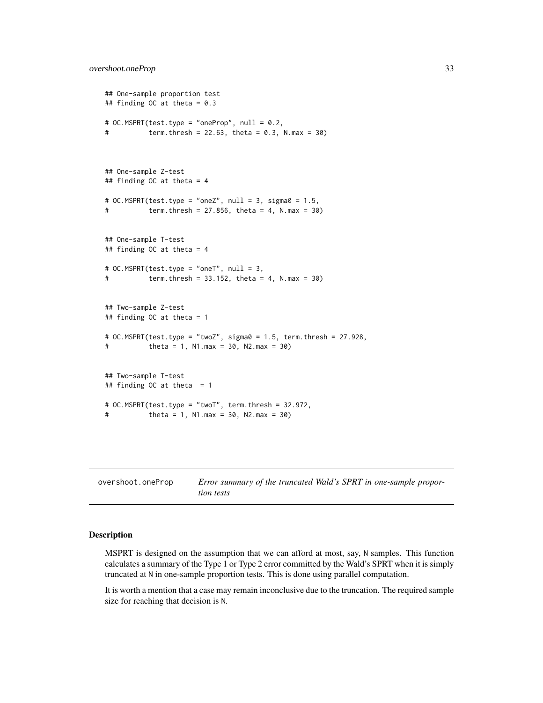```
## One-sample proportion test
## finding OC at theta = 0.3
# OC.MSPRT(test.type = "oneProp", null = 0.2,
# term.thresh = 22.63, theta = 0.3, N.max = 30)
## One-sample Z-test
## finding OC at theta = 4
# OC.MSPRT(test.type = "oneZ", null = 3, sigma0 = 1.5,
# term.thresh = 27.856, theta = 4, N.max = 30)
## One-sample T-test
## finding OC at theta = 4
# OC.MSPRT(test.type = "oneT", null = 3,
# term.thresh = 33.152, theta = 4, N.max = 30)
## Two-sample Z-test
## finding OC at theta = 1
# OC.MSPRT(test.type = "twoZ", sigma0 = 1.5, term.thresh = 27.928,
# theta = 1, N1.max = 30, N2.max = 30)
## Two-sample T-test
## finding OC at theta = 1
# OC.MSPRT(test.type = "twoT", term.thresh = 32.972,
# theta = 1, N1.max = 30, N2.max = 30)
```

| overshoot.oneProp | Error summary of the truncated Wald's SPRT in one-sample propor- |
|-------------------|------------------------------------------------------------------|
|                   | <i>tion tests</i>                                                |

#### Description

MSPRT is designed on the assumption that we can afford at most, say, N samples. This function calculates a summary of the Type 1 or Type 2 error committed by the Wald's SPRT when it is simply truncated at N in one-sample proportion tests. This is done using parallel computation.

It is worth a mention that a case may remain inconclusive due to the truncation. The required sample size for reaching that decision is N.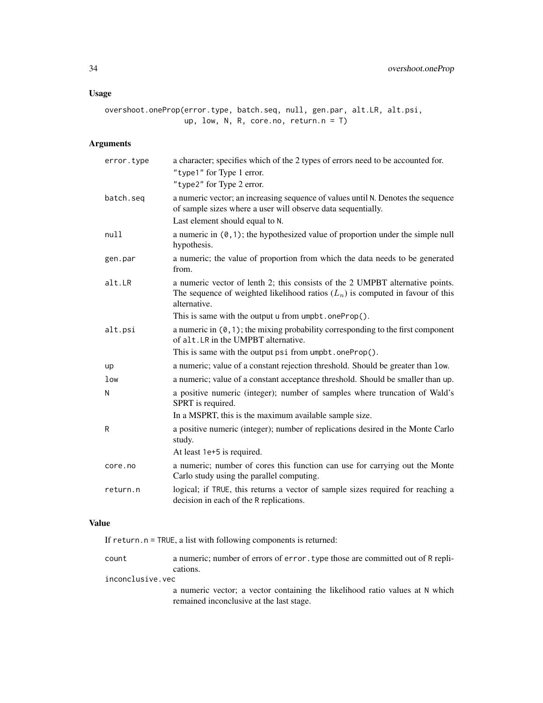# Usage

overshoot.oneProp(error.type, batch.seq, null, gen.par, alt.LR, alt.psi, up, low, N, R, core.no, return.n = T)

# Arguments

| error.type | a character; specifies which of the 2 types of errors need to be accounted for.<br>"type1" for Type 1 error.                                                                      |
|------------|-----------------------------------------------------------------------------------------------------------------------------------------------------------------------------------|
|            | "type2" for Type 2 error.                                                                                                                                                         |
| batch.seq  | a numeric vector; an increasing sequence of values until N. Denotes the sequence<br>of sample sizes where a user will observe data sequentially.                                  |
|            | Last element should equal to N.                                                                                                                                                   |
| null       | a numeric in $(0, 1)$ ; the hypothesized value of proportion under the simple null<br>hypothesis.                                                                                 |
| gen.par    | a numeric; the value of proportion from which the data needs to be generated<br>from.                                                                                             |
| alt.LR     | a numeric vector of lenth 2; this consists of the 2 UMPBT alternative points.<br>The sequence of weighted likelihood ratios $(L_n)$ is computed in favour of this<br>alternative. |
|            | This is same with the output u from umpbt.oneProp().                                                                                                                              |
| alt.psi    | a numeric in $(0, 1)$ ; the mixing probability corresponding to the first component<br>of alt. LR in the UMPBT alternative.                                                       |
|            | This is same with the output psi from umpbt.oneProp().                                                                                                                            |
| up         | a numeric; value of a constant rejection threshold. Should be greater than low.                                                                                                   |
| low        | a numeric; value of a constant acceptance threshold. Should be smaller than up.                                                                                                   |
| N          | a positive numeric (integer); number of samples where truncation of Wald's<br>SPRT is required.                                                                                   |
|            | In a MSPRT, this is the maximum available sample size.                                                                                                                            |
| R          | a positive numeric (integer); number of replications desired in the Monte Carlo<br>study.                                                                                         |
|            | At least 1e+5 is required.                                                                                                                                                        |
| core.no    | a numeric; number of cores this function can use for carrying out the Monte<br>Carlo study using the parallel computing.                                                          |
| return.n   | logical; if TRUE, this returns a vector of sample sizes required for reaching a<br>decision in each of the R replications.                                                        |

# Value

If return.n = TRUE, a list with following components is returned:

| count | a numeric; number of errors of error. type those are committed out of R repli- |
|-------|--------------------------------------------------------------------------------|
|       | cations.                                                                       |

inconclusive.vec

a numeric vector; a vector containing the likelihood ratio values at N which remained inconclusive at the last stage.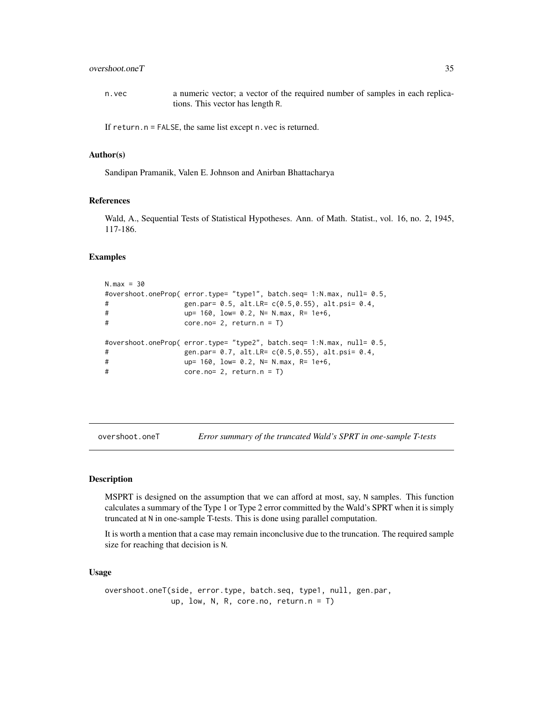# <span id="page-34-0"></span>overshoot.oneT 35

n. vec a numeric vector; a vector of the required number of samples in each replications. This vector has length R.

If return.n = FALSE, the same list except n.vec is returned.

#### Author(s)

Sandipan Pramanik, Valen E. Johnson and Anirban Bhattacharya

#### References

Wald, A., Sequential Tests of Statistical Hypotheses. Ann. of Math. Statist., vol. 16, no. 2, 1945, 117-186.

#### Examples

```
N.max = 30#overshoot.oneProp( error.type= "type1", batch.seq= 1:N.max, null= 0.5,
# gen.par= 0.5, alt.LR= c(0.5,0.55), alt.psi= 0.4,
# up= 160, low= 0.2, N= N.max, R= 1e+6,
# core.no= 2, return.n = T)
#overshoot.oneProp( error.type= "type2", batch.seq= 1:N.max, null= 0.5,
# gen.par= 0.7, alt.LR= c(0.5,0.55), alt.psi= 0.4,
# up= 160, low= 0.2, N= N.max, R= 1e+6,
# core.no= 2, return.n = T)
```
overshoot.oneT *Error summary of the truncated Wald's SPRT in one-sample T-tests*

## Description

MSPRT is designed on the assumption that we can afford at most, say, N samples. This function calculates a summary of the Type 1 or Type 2 error committed by the Wald's SPRT when it is simply truncated at N in one-sample T-tests. This is done using parallel computation.

It is worth a mention that a case may remain inconclusive due to the truncation. The required sample size for reaching that decision is N.

#### Usage

```
overshoot.oneT(side, error.type, batch.seq, type1, null, gen.par,
              up, low, N, R, core.no, return.n = T)
```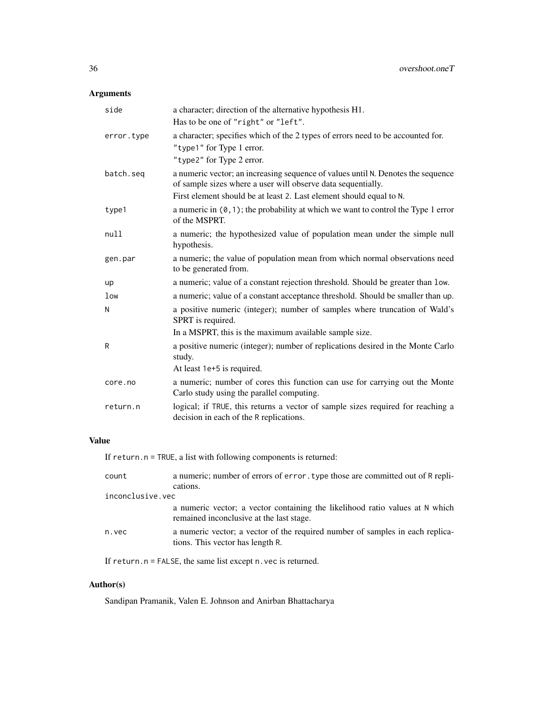# Arguments

| side       | a character; direction of the alternative hypothesis H1.<br>Has to be one of "right" or "left".                                                                                                                         |
|------------|-------------------------------------------------------------------------------------------------------------------------------------------------------------------------------------------------------------------------|
| error.type | a character; specifies which of the 2 types of errors need to be accounted for.<br>"type1" for Type 1 error.<br>"type2" for Type 2 error.                                                                               |
| batch.seq  | a numeric vector; an increasing sequence of values until N. Denotes the sequence<br>of sample sizes where a user will observe data sequentially.<br>First element should be at least 2. Last element should equal to N. |
| type1      | a numeric in $(0, 1)$ ; the probability at which we want to control the Type 1 error<br>of the MSPRT.                                                                                                                   |
| null       | a numeric; the hypothesized value of population mean under the simple null<br>hypothesis.                                                                                                                               |
| gen.par    | a numeric; the value of population mean from which normal observations need<br>to be generated from.                                                                                                                    |
| up         | a numeric; value of a constant rejection threshold. Should be greater than low.                                                                                                                                         |
| low        | a numeric; value of a constant acceptance threshold. Should be smaller than up.                                                                                                                                         |
| N          | a positive numeric (integer); number of samples where truncation of Wald's<br>SPRT is required.                                                                                                                         |
|            | In a MSPRT, this is the maximum available sample size.                                                                                                                                                                  |
| R          | a positive numeric (integer); number of replications desired in the Monte Carlo<br>study.                                                                                                                               |
|            | At least 1e+5 is required.                                                                                                                                                                                              |
| core.no    | a numeric; number of cores this function can use for carrying out the Monte<br>Carlo study using the parallel computing.                                                                                                |
| return.n   | logical; if TRUE, this returns a vector of sample sizes required for reaching a<br>decision in each of the R replications.                                                                                              |

# Value

If return.n = TRUE, a list with following components is returned:

| count            | a numeric; number of errors of error type those are committed out of R repli-<br>cations.                                |
|------------------|--------------------------------------------------------------------------------------------------------------------------|
| inconclusive.vec |                                                                                                                          |
|                  | a numeric vector; a vector containing the likelihood ratio values at N which<br>remained inconclusive at the last stage. |
| n.vec            | a numeric vector; a vector of the required number of samples in each replica-<br>tions. This vector has length R.        |

If return.n = FALSE, the same list except n.vec is returned.

# Author(s)

Sandipan Pramanik, Valen E. Johnson and Anirban Bhattacharya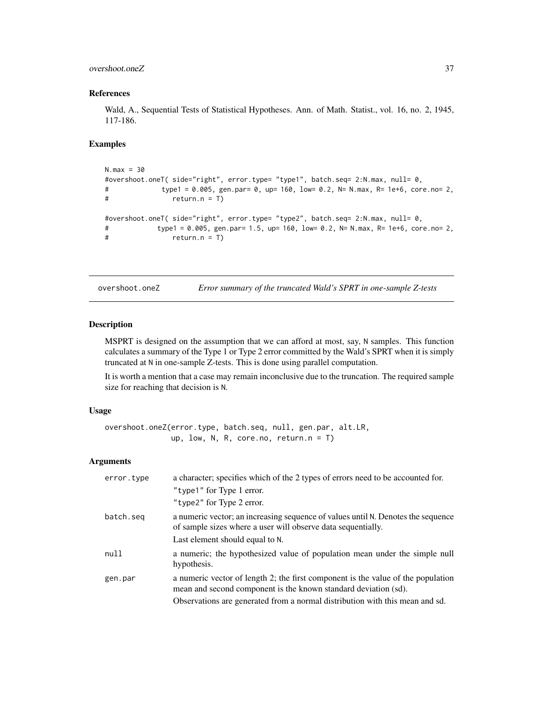## <span id="page-36-0"></span>overshoot.oneZ 37

#### References

Wald, A., Sequential Tests of Statistical Hypotheses. Ann. of Math. Statist., vol. 16, no. 2, 1945, 117-186.

#### Examples

```
N.max = 30#overshoot.oneT( side="right", error.type= "type1", batch.seq= 2:N.max, null= 0,
# type1 = 0.005, gen.par= 0, up= 160, low= 0.2, N= N.max, R= 1e+6, core.no= 2,
# return.n = T)
#overshoot.oneT( side="right", error.type= "type2", batch.seq= 2:N.max, null= 0,
# type1 = 0.005, gen.par= 1.5, up= 160, low= 0.2, N= N.max, R= 1e+6, core.no= 2,
# return.n = T)
```
overshoot.oneZ *Error summary of the truncated Wald's SPRT in one-sample Z-tests*

# Description

MSPRT is designed on the assumption that we can afford at most, say, N samples. This function calculates a summary of the Type 1 or Type 2 error committed by the Wald's SPRT when it is simply truncated at N in one-sample Z-tests. This is done using parallel computation.

It is worth a mention that a case may remain inconclusive due to the truncation. The required sample size for reaching that decision is N.

#### Usage

overshoot.oneZ(error.type, batch.seq, null, gen.par, alt.LR, up, low, N, R, core.no, return.n = T)

| error.type | a character; specifies which of the 2 types of errors need to be accounted for.                                                                                                     |
|------------|-------------------------------------------------------------------------------------------------------------------------------------------------------------------------------------|
|            | "type1" for Type 1 error.                                                                                                                                                           |
|            | "type2" for Type 2 error.                                                                                                                                                           |
| batch.seg  | a numeric vector; an increasing sequence of values until N. Denotes the sequence<br>of sample sizes where a user will observe data sequentially.<br>Last element should equal to N. |
| null       | a numeric; the hypothesized value of population mean under the simple null<br>hypothesis.                                                                                           |
| gen.par    | a numeric vector of length 2; the first component is the value of the population<br>mean and second component is the known standard deviation (sd).                                 |
|            | Observations are generated from a normal distribution with this mean and sd.                                                                                                        |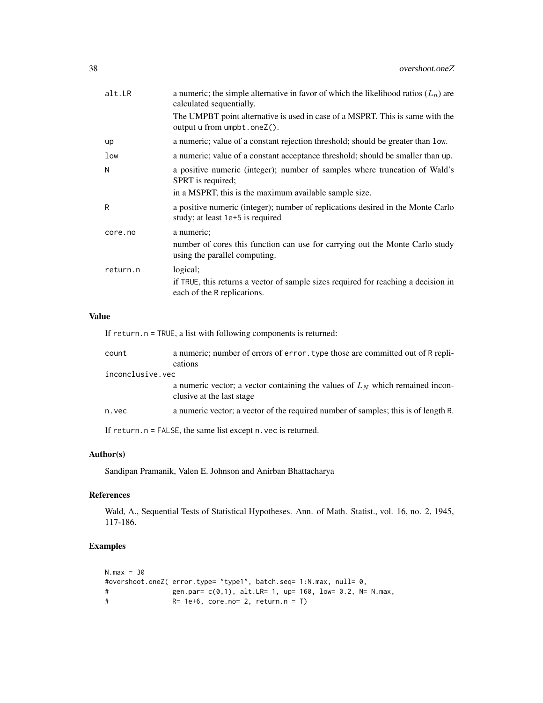| a numeric; the simple alternative in favor of which the likelihood ratios $(L_n)$ are<br>calculated sequentially.             |
|-------------------------------------------------------------------------------------------------------------------------------|
| The UMPBT point alternative is used in case of a MSPRT. This is same with the<br>output $u$ from $umplot \cdot oneZ()$ .      |
| a numeric; value of a constant rejection threshold; should be greater than low.                                               |
| a numeric; value of a constant acceptance threshold; should be smaller than up.                                               |
| a positive numeric (integer); number of samples where truncation of Wald's<br>SPRT is required;                               |
| in a MSPRT, this is the maximum available sample size.                                                                        |
| a positive numeric (integer); number of replications desired in the Monte Carlo<br>study; at least 1e+5 is required           |
| a numeric;                                                                                                                    |
| number of cores this function can use for carrying out the Monte Carlo study<br>using the parallel computing.                 |
| logical;<br>if TRUE, this returns a vector of sample sizes required for reaching a decision in<br>each of the R replications. |
|                                                                                                                               |

#### Value

If return.n = TRUE, a list with following components is returned:

| count                                                               | a numeric; number of errors of error type those are committed out of R repli-                               |  |  |
|---------------------------------------------------------------------|-------------------------------------------------------------------------------------------------------------|--|--|
|                                                                     | cations                                                                                                     |  |  |
|                                                                     | inconclusive.vec                                                                                            |  |  |
|                                                                     | a numeric vector; a vector containing the values of $LN$ which remained incon-<br>clusive at the last stage |  |  |
| n.vec                                                               | a numeric vector; a vector of the required number of samples; this is of length R.                          |  |  |
| If $return.n = FALSE$ , the same list except $n$ . vec is returned. |                                                                                                             |  |  |

# Author(s)

Sandipan Pramanik, Valen E. Johnson and Anirban Bhattacharya

# References

Wald, A., Sequential Tests of Statistical Hypotheses. Ann. of Math. Statist., vol. 16, no. 2, 1945, 117-186.

# Examples

```
N.max = 30#overshoot.oneZ( error.type= "type1", batch.seq= 1:N.max, null= \theta, # \qquad gen.par= c(\theta,1), alt.LR= 1, up= 160, low= 0.2, N=
# gen.par= c(0,1), alt.LR= 1, up= 160, low= 0.2, N= N.max,
                     R = 1e+6, core.no= 2, return.n = T)
```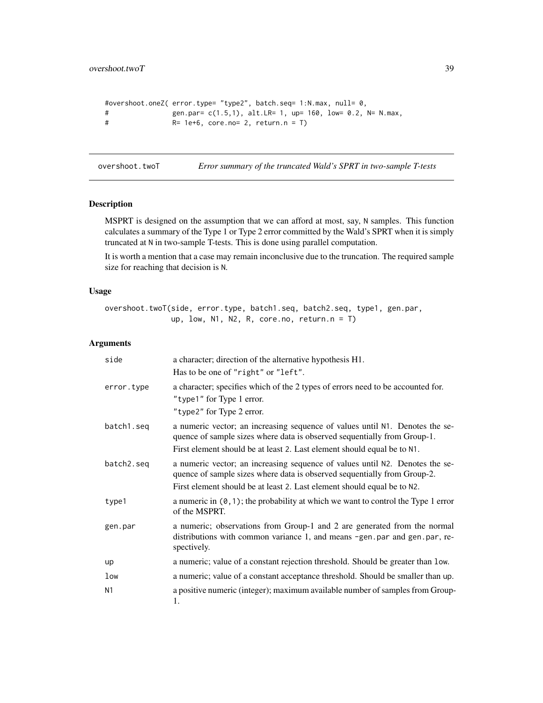```
#overshoot.oneZ( error.type= "type2", batch.seq= 1:N.max, null= 0,
# gen.par= c(1.5,1), alt.LR= 1, up= 160, low= 0.2, N= N.max,<br># R= 1e+6. core.no= 2. return.n = T)
                   R = 1e+6, core.no= 2, return.n = T)
```
overshoot.twoT *Error summary of the truncated Wald's SPRT in two-sample T-tests*

# Description

MSPRT is designed on the assumption that we can afford at most, say, N samples. This function calculates a summary of the Type 1 or Type 2 error committed by the Wald's SPRT when it is simply truncated at N in two-sample T-tests. This is done using parallel computation.

It is worth a mention that a case may remain inconclusive due to the truncation. The required sample size for reaching that decision is N.

#### Usage

overshoot.twoT(side, error.type, batch1.seq, batch2.seq, type1, gen.par, up, low, N1, N2, R, core.no, return.n = T)

| side           | a character; direction of the alternative hypothesis H1.                                                                                                             |
|----------------|----------------------------------------------------------------------------------------------------------------------------------------------------------------------|
|                | Has to be one of "right" or "left".                                                                                                                                  |
| error.type     | a character; specifies which of the 2 types of errors need to be accounted for.                                                                                      |
|                | "type1" for Type 1 error.                                                                                                                                            |
|                | "type2" for Type 2 error.                                                                                                                                            |
| batch1.seq     | a numeric vector; an increasing sequence of values until N1. Denotes the se-<br>quence of sample sizes where data is observed sequentially from Group-1.             |
|                | First element should be at least 2. Last element should equal be to N1.                                                                                              |
| batch2.seq     | a numeric vector; an increasing sequence of values until N2. Denotes the se-<br>quence of sample sizes where data is observed sequentially from Group-2.             |
|                | First element should be at least 2. Last element should equal be to N2.                                                                                              |
| type1          | a numeric in $(0, 1)$ ; the probability at which we want to control the Type 1 error<br>of the MSPRT.                                                                |
| gen.par        | a numeric; observations from Group-1 and 2 are generated from the normal<br>distributions with common variance 1, and means -gen.par and gen.par, re-<br>spectively. |
| up             | a numeric; value of a constant rejection threshold. Should be greater than low.                                                                                      |
| low            | a numeric; value of a constant acceptance threshold. Should be smaller than up.                                                                                      |
| N <sub>1</sub> | a positive numeric (integer); maximum available number of samples from Group-<br>1.                                                                                  |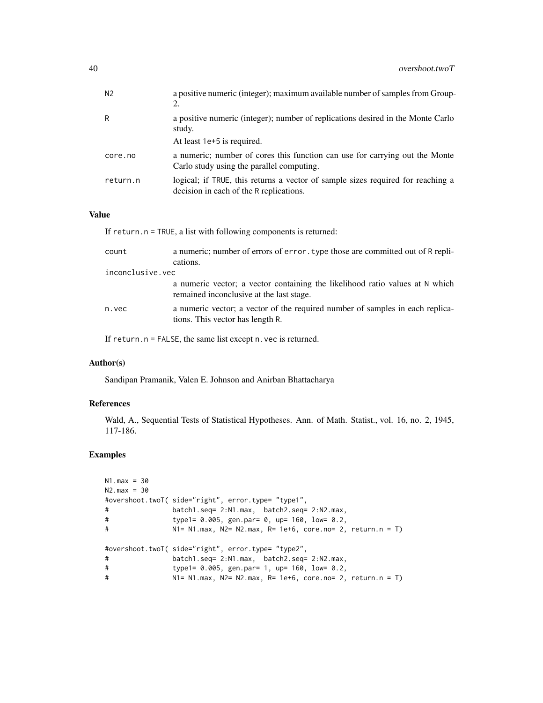| N <sub>2</sub> | a positive numeric (integer); maximum available number of samples from Group-<br>2.                                        |
|----------------|----------------------------------------------------------------------------------------------------------------------------|
| R              | a positive numeric (integer); number of replications desired in the Monte Carlo<br>study.<br>At least 1e+5 is required.    |
| core.no        | a numeric; number of cores this function can use for carrying out the Monte<br>Carlo study using the parallel computing.   |
| return.n       | logical; if TRUE, this returns a vector of sample sizes required for reaching a<br>decision in each of the R replications. |

# Value

If return.n = TRUE, a list with following components is returned:

| count            | a numeric; number of errors of error type those are committed out of R repli-<br>cations.                                |  |
|------------------|--------------------------------------------------------------------------------------------------------------------------|--|
| inconclusive.vec |                                                                                                                          |  |
|                  | a numeric vector; a vector containing the likelihood ratio values at N which<br>remained inconclusive at the last stage. |  |
| n.vec            | a numeric vector; a vector of the required number of samples in each replica-<br>tions. This vector has length R.        |  |

If return.n = FALSE, the same list except n.vec is returned.

# Author(s)

Sandipan Pramanik, Valen E. Johnson and Anirban Bhattacharya

# References

Wald, A., Sequential Tests of Statistical Hypotheses. Ann. of Math. Statist., vol. 16, no. 2, 1945, 117-186.

# Examples

```
N1.max = 30
N2.max = 30#overshoot.twoT( side="right", error.type= "type1",
# batch1.seq= 2:N1.max, batch2.seq= 2:N2.max,
# type1= 0.005, gen.par= 0, up= 160, low= 0.2,
# N1= N1.max, N2= N2.max, R= 1e+6, core.no= 2, return.n = T)
#overshoot.twoT( side="right", error.type= "type2",
# batch1.seq= 2:N1.max, batch2.seq= 2:N2.max,
# type1= 0.005, gen.par= 1, up= 160, low= 0.2,
# N1= N1.max, N2= N2.max, R= 1e+6, core.no= 2, return.n = T)
```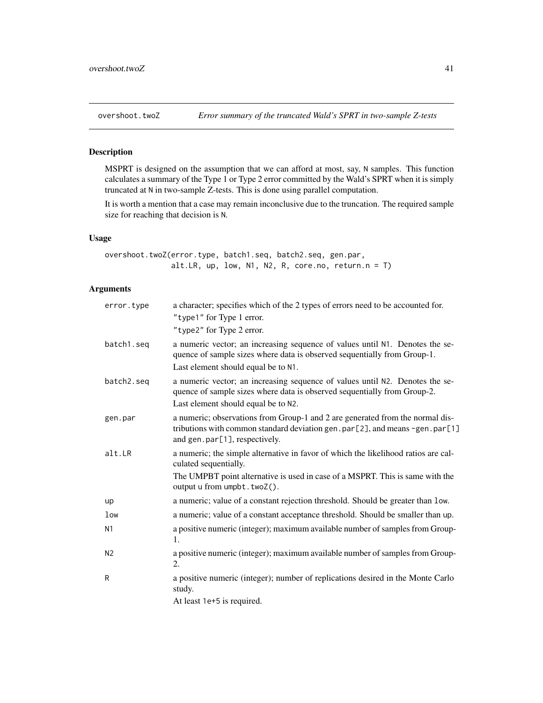<span id="page-40-0"></span>

# Description

MSPRT is designed on the assumption that we can afford at most, say, N samples. This function calculates a summary of the Type 1 or Type 2 error committed by the Wald's SPRT when it is simply truncated at N in two-sample Z-tests. This is done using parallel computation.

It is worth a mention that a case may remain inconclusive due to the truncation. The required sample size for reaching that decision is N.

#### Usage

overshoot.twoZ(error.type, batch1.seq, batch2.seq, gen.par, alt.LR, up, low, N1, N2, R, core.no, return.n = T)

| error.type     | a character; specifies which of the 2 types of errors need to be accounted for.<br>"type1" for Type 1 error.<br>"type2" for Type 2 error.                                                                                   |
|----------------|-----------------------------------------------------------------------------------------------------------------------------------------------------------------------------------------------------------------------------|
| batch1.seq     | a numeric vector; an increasing sequence of values until N1. Denotes the se-<br>quence of sample sizes where data is observed sequentially from Group-1.<br>Last element should equal be to N1.                             |
| batch2.seq     | a numeric vector; an increasing sequence of values until N2. Denotes the se-<br>quence of sample sizes where data is observed sequentially from Group-2.<br>Last element should equal be to N2.                             |
| gen.par        | a numeric; observations from Group-1 and 2 are generated from the normal dis-<br>tributions with common standard deviation gen.par[2], and means -gen.par[1]<br>and gen.par[1], respectively.                               |
| alt.LR         | a numeric; the simple alternative in favor of which the likelihood ratios are cal-<br>culated sequentially.<br>The UMPBT point alternative is used in case of a MSPRT. This is same with the<br>output u from umpbt.twoZ(). |
| up             | a numeric; value of a constant rejection threshold. Should be greater than low.                                                                                                                                             |
| low            | a numeric; value of a constant acceptance threshold. Should be smaller than up.                                                                                                                                             |
| N <sub>1</sub> | a positive numeric (integer); maximum available number of samples from Group-<br>1.                                                                                                                                         |
| N <sub>2</sub> | a positive numeric (integer); maximum available number of samples from Group-<br>2.                                                                                                                                         |
| R              | a positive numeric (integer); number of replications desired in the Monte Carlo<br>study.                                                                                                                                   |
|                | At least 1e+5 is required.                                                                                                                                                                                                  |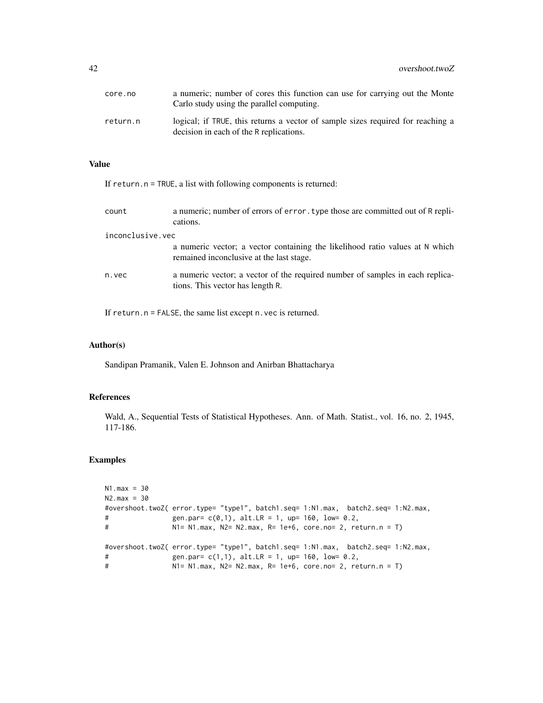| core.no  | a numeric; number of cores this function can use for carrying out the Monte<br>Carlo study using the parallel computing.   |
|----------|----------------------------------------------------------------------------------------------------------------------------|
| return.n | logical; if TRUE, this returns a vector of sample sizes required for reaching a<br>decision in each of the R replications. |

#### Value

If return.n = TRUE, a list with following components is returned:

| count            | a numeric; number of errors of error, type those are committed out of R repli-<br>cations.                               |
|------------------|--------------------------------------------------------------------------------------------------------------------------|
| inconclusive.vec |                                                                                                                          |
|                  | a numeric vector; a vector containing the likelihood ratio values at N which<br>remained inconclusive at the last stage. |
| n.vec            | a numeric vector; a vector of the required number of samples in each replica-<br>tions. This vector has length R.        |

If return.n = FALSE, the same list except n.vec is returned.

#### Author(s)

Sandipan Pramanik, Valen E. Johnson and Anirban Bhattacharya

#### References

Wald, A., Sequential Tests of Statistical Hypotheses. Ann. of Math. Statist., vol. 16, no. 2, 1945, 117-186.

## Examples

```
N1.max = 30
N2.max = 30#overshoot.twoZ( error.type= "type1", batch1.seq= 1:N1.max, batch2.seq= 1:N2.max,
# gen.par= c(0,1), alt.LR = 1, up= 160, low= 0.2,
# N1= N1.max, N2= N2.max, R= 1e+6, core.no= 2, return.n = T)
#overshoot.twoZ( error.type= "type1", batch1.seq= 1:N1.max, batch2.seq= 1:N2.max,
# gen.par= c(1,1), alt.LR = 1, up= 160, low= 0.2,
# N1= N1.max, N2= N2.max, R= 1e+6, core.no= 2, return.n = T)
```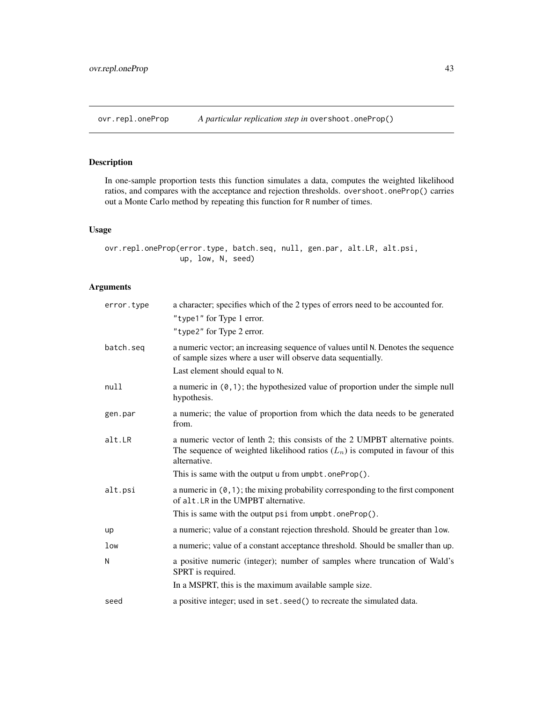<span id="page-42-0"></span>

# Description

In one-sample proportion tests this function simulates a data, computes the weighted likelihood ratios, and compares with the acceptance and rejection thresholds. overshoot.oneProp() carries out a Monte Carlo method by repeating this function for R number of times.

#### Usage

```
ovr.repl.oneProp(error.type, batch.seq, null, gen.par, alt.LR, alt.psi,
                 up, low, N, seed)
```

| error.type | a character; specifies which of the 2 types of errors need to be accounted for.<br>"type1" for Type 1 error.<br>"type2" for Type 2 error.                                         |
|------------|-----------------------------------------------------------------------------------------------------------------------------------------------------------------------------------|
| batch.seq  | a numeric vector; an increasing sequence of values until N. Denotes the sequence<br>of sample sizes where a user will observe data sequentially.                                  |
|            | Last element should equal to N.                                                                                                                                                   |
| null       | a numeric in $(0, 1)$ ; the hypothesized value of proportion under the simple null<br>hypothesis.                                                                                 |
| gen.par    | a numeric; the value of proportion from which the data needs to be generated<br>from.                                                                                             |
| alt.LR     | a numeric vector of lenth 2; this consists of the 2 UMPBT alternative points.<br>The sequence of weighted likelihood ratios $(L_n)$ is computed in favour of this<br>alternative. |
|            | This is same with the output $\mu$ from $\mu$ mpbt.oneProp().                                                                                                                     |
| alt.psi    | a numeric in $(0, 1)$ ; the mixing probability corresponding to the first component<br>of alt. LR in the UMPBT alternative.                                                       |
|            | This is same with the output psi from umpbt.oneProp().                                                                                                                            |
| up         | a numeric; value of a constant rejection threshold. Should be greater than low.                                                                                                   |
| low        | a numeric; value of a constant acceptance threshold. Should be smaller than up.                                                                                                   |
| N          | a positive numeric (integer); number of samples where truncation of Wald's<br>SPRT is required.                                                                                   |
|            | In a MSPRT, this is the maximum available sample size.                                                                                                                            |
| seed       | a positive integer; used in set. seed() to recreate the simulated data.                                                                                                           |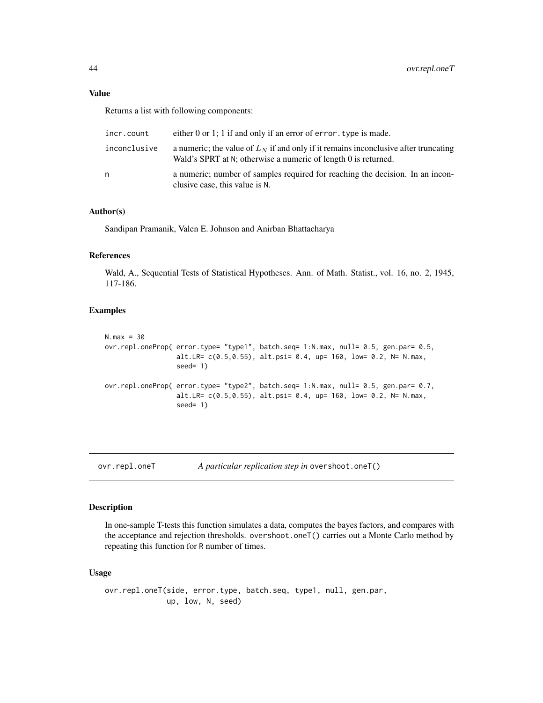# <span id="page-43-0"></span>Value

Returns a list with following components:

| incr.count   | either $0$ or 1; 1 if and only if an error of error. type is made.                                                                                     |
|--------------|--------------------------------------------------------------------------------------------------------------------------------------------------------|
| inconclusive | a numeric; the value of $LN$ if and only if it remains inconclusive after truncating<br>Wald's SPRT at N; otherwise a numeric of length 0 is returned. |
| n            | a numeric; number of samples required for reaching the decision. In an incon-<br>clusive case, this value is N.                                        |

# Author(s)

Sandipan Pramanik, Valen E. Johnson and Anirban Bhattacharya

#### References

Wald, A., Sequential Tests of Statistical Hypotheses. Ann. of Math. Statist., vol. 16, no. 2, 1945, 117-186.

#### Examples

```
N.max = 30ovr.repl.oneProp( error.type= "type1", batch.seq= 1:N.max, null= 0.5, gen.par= 0.5,
                  alt.LR= c(0.5,0.55), alt.psi= 0.4, up= 160, low= 0.2, N= N.max,
                  seed= 1)
ovr.repl.oneProp( error.type= "type2", batch.seq= 1:N.max, null= 0.5, gen.par= 0.7,
                  alt.LR= c(0.5,0.55), alt.psi= 0.4, up= 160, low= 0.2, N= N.max,
                  seed= 1)
```

```
ovr.repl.oneT A particular replication step in overshoot.oneT()
```
# Description

In one-sample T-tests this function simulates a data, computes the bayes factors, and compares with the acceptance and rejection thresholds. overshoot.oneT() carries out a Monte Carlo method by repeating this function for R number of times.

#### Usage

```
ovr.repl.oneT(side, error.type, batch.seq, type1, null, gen.par,
             up, low, N, seed)
```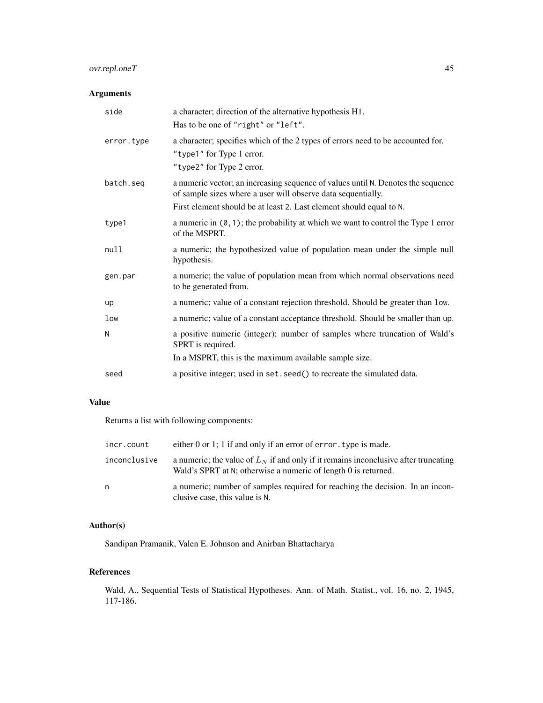# ovr.repl.oneT 45

# Arguments

| side       | a character; direction of the alternative hypothesis H1.<br>Has to be one of "right" or "left".                                                  |
|------------|--------------------------------------------------------------------------------------------------------------------------------------------------|
| error.type | a character; specifies which of the 2 types of errors need to be accounted for.<br>"type1" for Type 1 error.<br>"type2" for Type 2 error.        |
| batch.seq  | a numeric vector; an increasing sequence of values until N. Denotes the sequence<br>of sample sizes where a user will observe data sequentially. |
|            | First element should be at least 2. Last element should equal to N.                                                                              |
| type1      | a numeric in $(0, 1)$ ; the probability at which we want to control the Type 1 error<br>of the MSPRT.                                            |
| null       | a numeric; the hypothesized value of population mean under the simple null<br>hypothesis.                                                        |
| gen.par    | a numeric; the value of population mean from which normal observations need<br>to be generated from.                                             |
| up         | a numeric; value of a constant rejection threshold. Should be greater than low.                                                                  |
| low        | a numeric; value of a constant acceptance threshold. Should be smaller than up.                                                                  |
| N          | a positive numeric (integer); number of samples where truncation of Wald's<br>SPRT is required.                                                  |
|            | In a MSPRT, this is the maximum available sample size.                                                                                           |
| seed       | a positive integer; used in set. seed() to recreate the simulated data.                                                                          |

# Value

Returns a list with following components:

| incr.count   | either $0$ or 1; 1 if and only if an error of error, type is made.                                                                                     |
|--------------|--------------------------------------------------------------------------------------------------------------------------------------------------------|
| inconclusive | a numeric; the value of $LN$ if and only if it remains inconclusive after truncating<br>Wald's SPRT at N; otherwise a numeric of length 0 is returned. |
| n            | a numeric; number of samples required for reaching the decision. In an incon-<br>clusive case, this value is N.                                        |

# Author(s)

Sandipan Pramanik, Valen E. Johnson and Anirban Bhattacharya

# References

Wald, A., Sequential Tests of Statistical Hypotheses. Ann. of Math. Statist., vol. 16, no. 2, 1945, 117-186.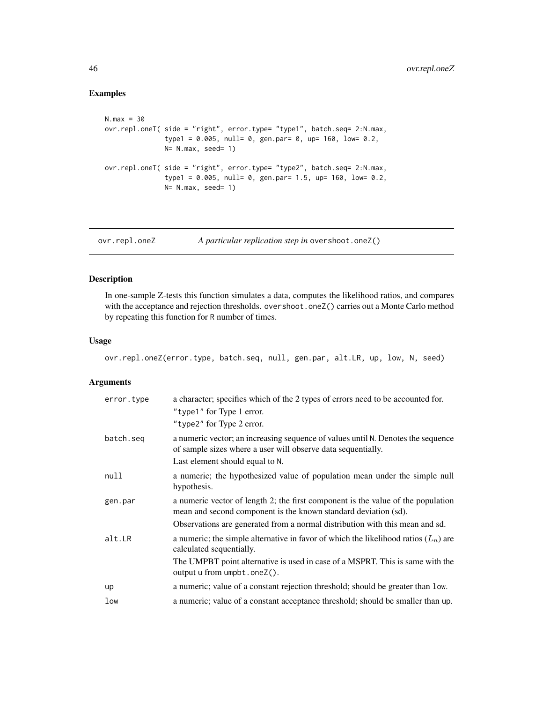# Examples

```
N.max = 30ovr.repl.oneT( side = "right", error.type= "type1", batch.seq= 2:N.max,
               type1 = 0.005, null= 0, gen.par= 0, up= 160, low= 0.2,
               N= N.max, seed= 1)
ovr.repl.oneT( side = "right", error.type= "type2", batch.seq= 2:N.max,
               type1 = 0.005, null= 0, gen.par= 1.5, up= 160, low= 0.2,
               N= N.max, seed= 1)
```
ovr.repl.oneZ *A particular replication step in* overshoot.oneZ()

# Description

In one-sample Z-tests this function simulates a data, computes the likelihood ratios, and compares with the acceptance and rejection thresholds. overshoot.oneZ() carries out a Monte Carlo method by repeating this function for R number of times.

# Usage

ovr.repl.oneZ(error.type, batch.seq, null, gen.par, alt.LR, up, low, N, seed)

| error.type | a character; specifies which of the 2 types of errors need to be accounted for.<br>"type1" for Type 1 error.<br>"type2" for Type 2 error.           |
|------------|-----------------------------------------------------------------------------------------------------------------------------------------------------|
| batch.seg  | a numeric vector; an increasing sequence of values until N. Denotes the sequence<br>of sample sizes where a user will observe data sequentially.    |
|            | Last element should equal to N.                                                                                                                     |
| null       | a numeric; the hypothesized value of population mean under the simple null<br>hypothesis.                                                           |
| gen.par    | a numeric vector of length 2; the first component is the value of the population<br>mean and second component is the known standard deviation (sd). |
|            | Observations are generated from a normal distribution with this mean and sd.                                                                        |
| alt.LR     | a numeric; the simple alternative in favor of which the likelihood ratios $(L_n)$ are<br>calculated sequentially.                                   |
|            | The UMPBT point alternative is used in case of a MSPRT. This is same with the<br>output $u$ from $umplot.outocZ()$ .                                |
| up         | a numeric; value of a constant rejection threshold; should be greater than low.                                                                     |
| low        | a numeric; value of a constant acceptance threshold; should be smaller than up.                                                                     |

<span id="page-45-0"></span>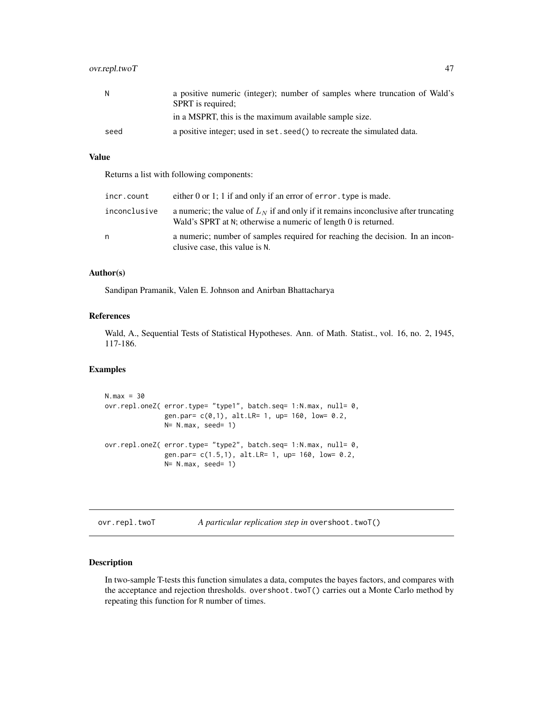# <span id="page-46-0"></span>ovr.repl.twoT 47

| N.   | a positive numeric (integer); number of samples where truncation of Wald's<br>SPRT is required: |
|------|-------------------------------------------------------------------------------------------------|
|      | in a MSPRT, this is the maximum available sample size.                                          |
| seed | a positive integer; used in set. seed () to recreate the simulated data.                        |

# Value

Returns a list with following components:

| incr.count   | either $0$ or 1; 1 if and only if an error of error. type is made.                                                                                     |
|--------------|--------------------------------------------------------------------------------------------------------------------------------------------------------|
| inconclusive | a numeric; the value of $LN$ if and only if it remains inconclusive after truncating<br>Wald's SPRT at N; otherwise a numeric of length 0 is returned. |
| n            | a numeric; number of samples required for reaching the decision. In an incon-<br>clusive case, this value is N.                                        |

# Author(s)

Sandipan Pramanik, Valen E. Johnson and Anirban Bhattacharya

#### References

Wald, A., Sequential Tests of Statistical Hypotheses. Ann. of Math. Statist., vol. 16, no. 2, 1945, 117-186.

#### Examples

```
N.max = 30ovr.repl.oneZ( error.type= "type1", batch.seq= 1:N.max, null= 0,
               gen.par= c(\emptyset, 1), alt.LR= 1, up= 160, low= 0.2,
               N= N.max, seed= 1)
ovr.repl.oneZ( error.type= "type2", batch.seq= 1:N.max, null= 0,
               gen.par= c(1.5,1), alt.LR= 1, up= 160, low= 0.2,
               N= N.max, seed= 1)
```
ovr.repl.twoT *A particular replication step in* overshoot.twoT()

#### Description

In two-sample T-tests this function simulates a data, computes the bayes factors, and compares with the acceptance and rejection thresholds. overshoot.twoT() carries out a Monte Carlo method by repeating this function for R number of times.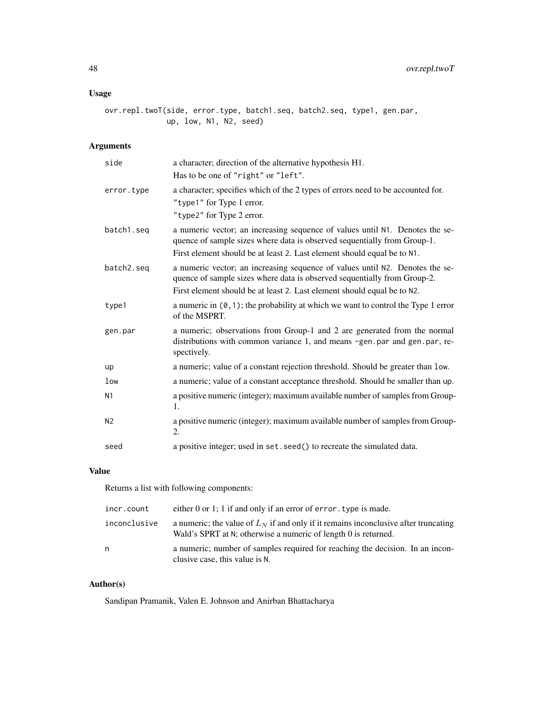# Usage

ovr.repl.twoT(side, error.type, batch1.seq, batch2.seq, type1, gen.par, up, low, N1, N2, seed)

# Arguments

| side           | a character; direction of the alternative hypothesis H1.<br>Has to be one of "right" or "left".                                                                                                                                     |
|----------------|-------------------------------------------------------------------------------------------------------------------------------------------------------------------------------------------------------------------------------------|
| error.type     | a character; specifies which of the 2 types of errors need to be accounted for.<br>"type1" for Type 1 error.<br>"type2" for Type 2 error.                                                                                           |
| batch1.seq     | a numeric vector; an increasing sequence of values until N1. Denotes the se-<br>quence of sample sizes where data is observed sequentially from Group-1.<br>First element should be at least 2. Last element should equal be to N1. |
| batch2.seq     | a numeric vector; an increasing sequence of values until N2. Denotes the se-<br>quence of sample sizes where data is observed sequentially from Group-2.<br>First element should be at least 2. Last element should equal be to N2. |
| type1          | a numeric in $(0, 1)$ ; the probability at which we want to control the Type 1 error<br>of the MSPRT.                                                                                                                               |
| gen.par        | a numeric; observations from Group-1 and 2 are generated from the normal<br>distributions with common variance 1, and means -gen.par and gen.par, re-<br>spectively.                                                                |
| up             | a numeric; value of a constant rejection threshold. Should be greater than low.                                                                                                                                                     |
| low            | a numeric; value of a constant acceptance threshold. Should be smaller than up.                                                                                                                                                     |
| N <sub>1</sub> | a positive numeric (integer); maximum available number of samples from Group-<br>1.                                                                                                                                                 |
| N <sub>2</sub> | a positive numeric (integer); maximum available number of samples from Group-<br>2.                                                                                                                                                 |
| seed           | a positive integer; used in set. seed() to recreate the simulated data.                                                                                                                                                             |

# Value

Returns a list with following components:

| incr.count   | either $0$ or 1; 1 if and only if an error of error. type is made.                                                                                     |
|--------------|--------------------------------------------------------------------------------------------------------------------------------------------------------|
| inconclusive | a numeric; the value of $LN$ if and only if it remains inconclusive after truncating<br>Wald's SPRT at N; otherwise a numeric of length 0 is returned. |
| n            | a numeric; number of samples required for reaching the decision. In an incon-<br>clusive case, this value is N.                                        |

# Author(s)

Sandipan Pramanik, Valen E. Johnson and Anirban Bhattacharya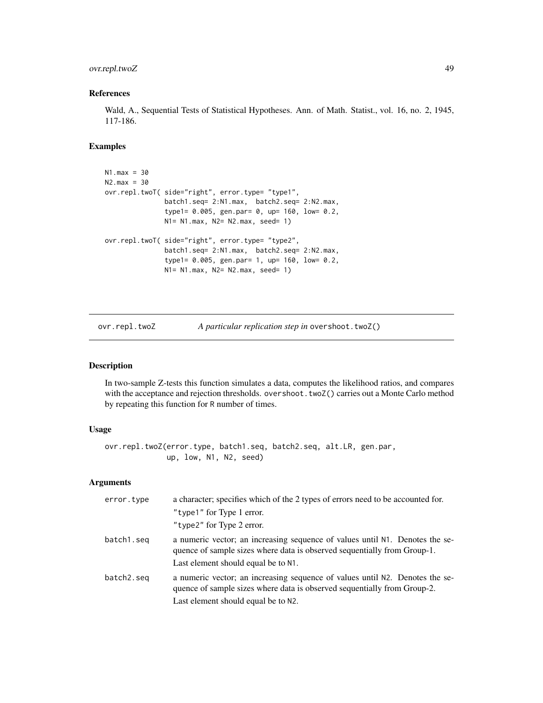# <span id="page-48-0"></span>ovr.repl.twoZ 49

# References

Wald, A., Sequential Tests of Statistical Hypotheses. Ann. of Math. Statist., vol. 16, no. 2, 1945, 117-186.

# Examples

```
N1. max = 30
N2.max = 30ovr.repl.twoT( side="right", error.type= "type1",
               batch1.seq= 2:N1.max, batch2.seq= 2:N2.max,
               type1= 0.005, gen.par= 0, up= 160, low= 0.2,
               N1= N1.max, N2= N2.max, seed= 1)
ovr.repl.twoT( side="right", error.type= "type2",
               batch1.seq= 2:N1.max, batch2.seq= 2:N2.max,
               type1= 0.005, gen.par= 1, up= 160, low= 0.2,
               N1= N1.max, N2= N2.max, seed= 1)
```
ovr.repl.twoZ *A particular replication step in* overshoot.twoZ()

# Description

In two-sample Z-tests this function simulates a data, computes the likelihood ratios, and compares with the acceptance and rejection thresholds. over shoot. twoZ() carries out a Monte Carlo method by repeating this function for R number of times.

# Usage

```
ovr.repl.twoZ(error.type, batch1.seq, batch2.seq, alt.LR, gen.par,
              up, low, N1, N2, seed)
```

| error.type | a character; specifies which of the 2 types of errors need to be accounted for.                                                                          |
|------------|----------------------------------------------------------------------------------------------------------------------------------------------------------|
|            | "type1" for Type 1 error.                                                                                                                                |
|            | "type2" for Type 2 error.                                                                                                                                |
| batch1.seq | a numeric vector; an increasing sequence of values until N1. Denotes the se-<br>quence of sample sizes where data is observed sequentially from Group-1. |
|            | Last element should equal be to N1.                                                                                                                      |
| batch2.seg | a numeric vector; an increasing sequence of values until N2. Denotes the se-<br>quence of sample sizes where data is observed sequentially from Group-2. |
|            | Last element should equal be to N2.                                                                                                                      |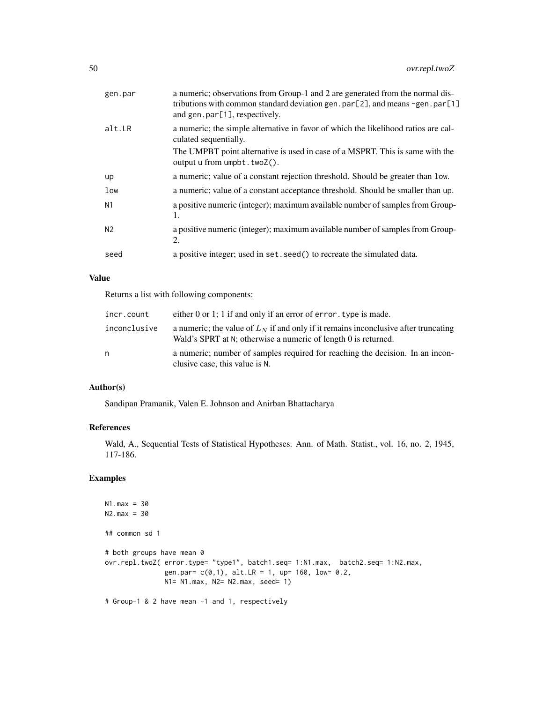| gen.par        | a numeric; observations from Group-1 and 2 are generated from the normal dis-<br>tributions with common standard deviation gen.par $[2]$ , and means -gen.par $[1]$<br>and gen.par[1], respectively. |
|----------------|------------------------------------------------------------------------------------------------------------------------------------------------------------------------------------------------------|
| alt.LR         | a numeric; the simple alternative in favor of which the likelihood ratios are cal-<br>culated sequentially.                                                                                          |
|                | The UMPBT point alternative is used in case of a MSPRT. This is same with the<br>output $u$ from $\text{unpbt.twoZ}($ ).                                                                             |
| up             | a numeric; value of a constant rejection threshold. Should be greater than low.                                                                                                                      |
| low            | a numeric; value of a constant acceptance threshold. Should be smaller than up.                                                                                                                      |
| N <sub>1</sub> | a positive numeric (integer); maximum available number of samples from Group-<br>1.                                                                                                                  |
| N <sub>2</sub> | a positive numeric (integer); maximum available number of samples from Group-<br>2.                                                                                                                  |
| seed           | a positive integer; used in set. seed() to recreate the simulated data.                                                                                                                              |

# Value

Returns a list with following components:

| incr.count   | either $0$ or 1; 1 if and only if an error of error. type is made.                                                                                     |
|--------------|--------------------------------------------------------------------------------------------------------------------------------------------------------|
| inconclusive | a numeric; the value of $LN$ if and only if it remains inconclusive after truncating<br>Wald's SPRT at N; otherwise a numeric of length 0 is returned. |
| n            | a numeric; number of samples required for reaching the decision. In an incon-<br>clusive case, this value is N.                                        |

# Author(s)

Sandipan Pramanik, Valen E. Johnson and Anirban Bhattacharya

# References

Wald, A., Sequential Tests of Statistical Hypotheses. Ann. of Math. Statist., vol. 16, no. 2, 1945, 117-186.

# Examples

```
N1. max = 30
N2.max = 30## common sd 1
# both groups have mean 0
ovr.repl.twoZ( error.type= "type1", batch1.seq= 1:N1.max, batch2.seq= 1:N2.max,
              gen.par= c(0,1), alt.LR = 1, up= 160, low= 0.2,
              N1= N1.max, N2= N2.max, seed= 1)
# Group-1 & 2 have mean -1 and 1, respectively
```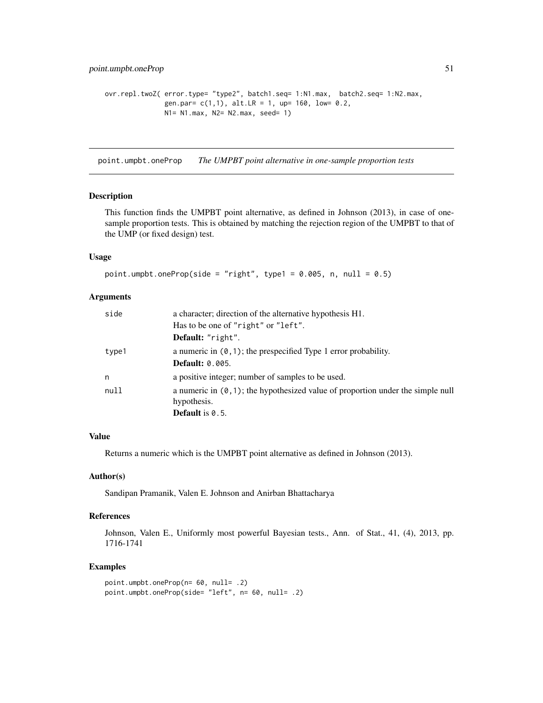```
ovr.repl.twoZ( error.type= "type2", batch1.seq= 1:N1.max, batch2.seq= 1:N2.max,
              gen.par= c(1,1), alt.LR = 1, up= 160, low= 0.2,
              N1= N1.max, N2= N2.max, seed= 1)
```
point.umpbt.oneProp *The UMPBT point alternative in one-sample proportion tests*

#### Description

This function finds the UMPBT point alternative, as defined in Johnson (2013), in case of onesample proportion tests. This is obtained by matching the rejection region of the UMPBT to that of the UMP (or fixed design) test.

#### Usage

```
point.umpbt.oneProp(side = "right", type1 = 0.005, n, null = 0.5)
```
#### **Arguments**

| side  | a character; direction of the alternative hypothesis H1.                                          |
|-------|---------------------------------------------------------------------------------------------------|
|       | Has to be one of "right" or "left".                                                               |
|       | Default: "right".                                                                                 |
| type1 | a numeric in $(0, 1)$ ; the prespecified Type 1 error probability.<br><b>Default: 0.005.</b>      |
| n     | a positive integer; number of samples to be used.                                                 |
| null  | a numeric in $(0, 1)$ ; the hypothesized value of proportion under the simple null<br>hypothesis. |
|       | <b>Default</b> is $0.5$ .                                                                         |

## Value

Returns a numeric which is the UMPBT point alternative as defined in Johnson (2013).

# Author(s)

Sandipan Pramanik, Valen E. Johnson and Anirban Bhattacharya

#### References

Johnson, Valen E., Uniformly most powerful Bayesian tests., Ann. of Stat., 41, (4), 2013, pp. 1716-1741

#### Examples

```
point.umpbt.oneProp(n= 60, null= .2)
point.umpbt.oneProp(side= "left", n= 60, null= .2)
```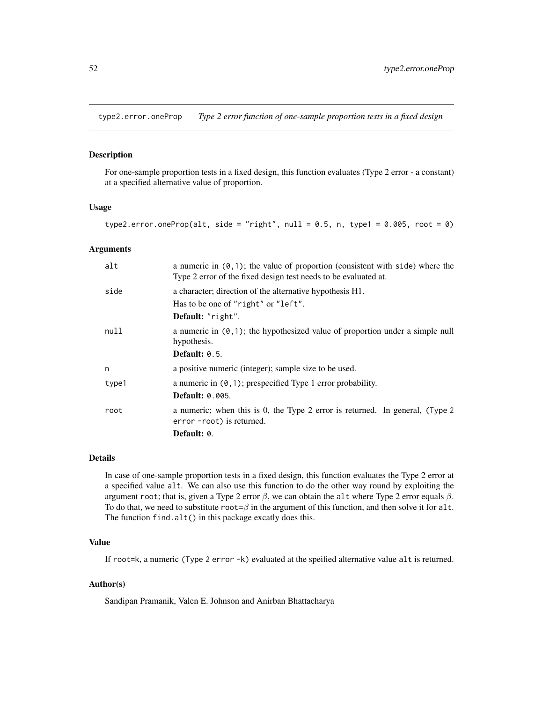<span id="page-51-0"></span>type2.error.oneProp *Type 2 error function of one-sample proportion tests in a fixed design*

#### Description

For one-sample proportion tests in a fixed design, this function evaluates (Type 2 error - a constant) at a specified alternative value of proportion.

#### Usage

```
type2.error.oneProp(alt, side = "right", null = 0.5, n, type1 = 0.005, root = 0)
```
# Arguments

| alt   | a numeric in $(0, 1)$ ; the value of proportion (consistent with side) where the<br>Type 2 error of the fixed design test needs to be evaluated at. |
|-------|-----------------------------------------------------------------------------------------------------------------------------------------------------|
| side  | a character; direction of the alternative hypothesis H1.                                                                                            |
|       | Has to be one of "right" or "left".                                                                                                                 |
|       | Default: "right".                                                                                                                                   |
| null  | a numeric in $(0, 1)$ ; the hypothesized value of proportion under a simple null<br>hypothesis.                                                     |
|       | Default: $0.5$ .                                                                                                                                    |
| n     | a positive numeric (integer); sample size to be used.                                                                                               |
| type1 | a numeric in $(0, 1)$ ; prespecified Type 1 error probability.                                                                                      |
|       | <b>Default: 0.005.</b>                                                                                                                              |
| root  | a numeric; when this is 0, the Type 2 error is returned. In general, (Type 2)<br>error -root) is returned.                                          |
|       | Default: 0.                                                                                                                                         |

# Details

In case of one-sample proportion tests in a fixed design, this function evaluates the Type 2 error at a specified value alt. We can also use this function to do the other way round by exploiting the argument root; that is, given a Type 2 error  $\beta$ , we can obtain the alt where Type 2 error equals  $\beta$ . To do that, we need to substitute  $root = \beta$  in the argument of this function, and then solve it for alt. The function find.alt() in this package excatly does this.

# Value

If root=k, a numeric (Type 2 error -k) evaluated at the speified alternative value alt is returned.

# Author(s)

Sandipan Pramanik, Valen E. Johnson and Anirban Bhattacharya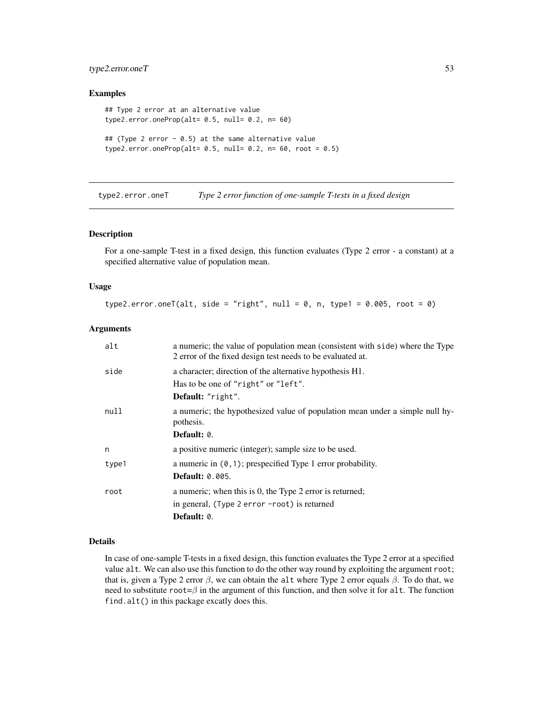# <span id="page-52-0"></span>type2.error.oneT 53

#### Examples

```
## Type 2 error at an alternative value
type2.error.oneProp(alt= 0.5, null= 0.2, n= 60)
## (Type 2 error - 0.5) at the same alternative value
type2.error.oneProp(alt= 0.5, null= 0.2, n= 60, root = 0.5)
```
type2.error.oneT *Type 2 error function of one-sample T-tests in a fixed design*

# Description

For a one-sample T-test in a fixed design, this function evaluates (Type 2 error - a constant) at a specified alternative value of population mean.

#### Usage

```
type2.error.oneT(alt, side = "right", null = 0, n, type1 = 0.005, root = 0)
```
#### Arguments

| alt   | a numeric; the value of population mean (consistent with side) where the Type<br>2 error of the fixed design test needs to be evaluated at. |
|-------|---------------------------------------------------------------------------------------------------------------------------------------------|
| side  | a character; direction of the alternative hypothesis H1.                                                                                    |
|       | Has to be one of "right" or "left".                                                                                                         |
|       | Default: "right".                                                                                                                           |
| null  | a numeric; the hypothesized value of population mean under a simple null hy-<br>pothesis.                                                   |
|       | Default: 0.                                                                                                                                 |
| n     | a positive numeric (integer); sample size to be used.                                                                                       |
| type1 | a numeric in $(0, 1)$ ; prespecified Type 1 error probability.                                                                              |
|       | <b>Default: 0.005.</b>                                                                                                                      |
| root  | a numeric; when this is 0, the Type 2 error is returned;                                                                                    |
|       | in general, (Type 2 error -root) is returned                                                                                                |
|       | Default: 0.                                                                                                                                 |

# Details

In case of one-sample T-tests in a fixed design, this function evaluates the Type 2 error at a specified value alt. We can also use this function to do the other way round by exploiting the argument root; that is, given a Type 2 error  $β$ , we can obtain the alt where Type 2 error equals  $β$ . To do that, we need to substitute root= $\beta$  in the argument of this function, and then solve it for alt. The function find.alt() in this package excatly does this.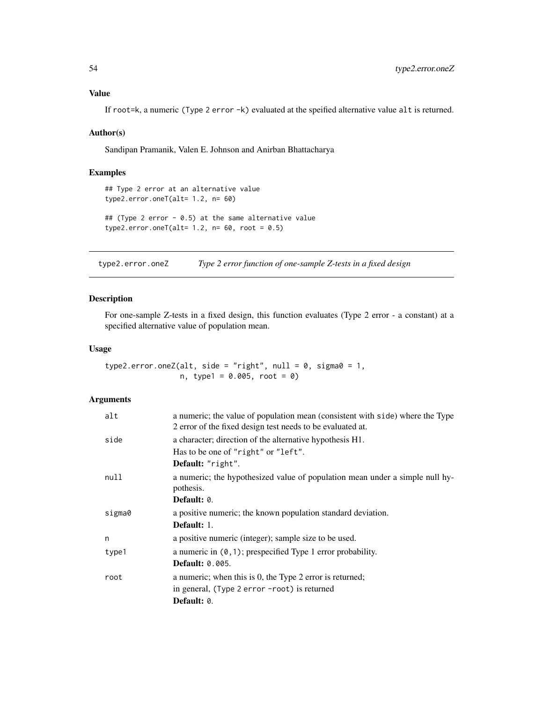# <span id="page-53-0"></span>Value

If root=k, a numeric (Type 2 error -k) evaluated at the speified alternative value alt is returned.

#### Author(s)

Sandipan Pramanik, Valen E. Johnson and Anirban Bhattacharya

#### Examples

```
## Type 2 error at an alternative value
type2.error.oneT(alt= 1.2, n= 60)
## (Type 2 error - 0.5) at the same alternative value
type2.error.oneT(alt= 1.2, n= 60, root = 0.5)
```
type2.error.oneZ *Type 2 error function of one-sample Z-tests in a fixed design*

# Description

For one-sample Z-tests in a fixed design, this function evaluates (Type 2 error - a constant) at a specified alternative value of population mean.

#### Usage

type2.error.oneZ(alt, side = "right", null =  $0$ , sigma $0 = 1$ ,  $n, type1 = 0.005, root = 0$ 

| alt    | a numeric; the value of population mean (consistent with side) where the Type<br>2 error of the fixed design test needs to be evaluated at. |
|--------|---------------------------------------------------------------------------------------------------------------------------------------------|
| side   | a character; direction of the alternative hypothesis H1.                                                                                    |
|        | Has to be one of "right" or "left".                                                                                                         |
|        | Default: "right".                                                                                                                           |
| null   | a numeric; the hypothesized value of population mean under a simple null hy-<br>pothesis.                                                   |
|        | Default: 0.                                                                                                                                 |
| sigma0 | a positive numeric; the known population standard deviation.                                                                                |
|        | Default: 1.                                                                                                                                 |
| n      | a positive numeric (integer); sample size to be used.                                                                                       |
| type1  | a numeric in $(0, 1)$ ; prespecified Type 1 error probability.                                                                              |
|        | <b>Default: 0.005.</b>                                                                                                                      |
| root   | a numeric; when this is 0, the Type 2 error is returned;                                                                                    |
|        | in general, (Type 2 error -root) is returned                                                                                                |
|        | Default: 0.                                                                                                                                 |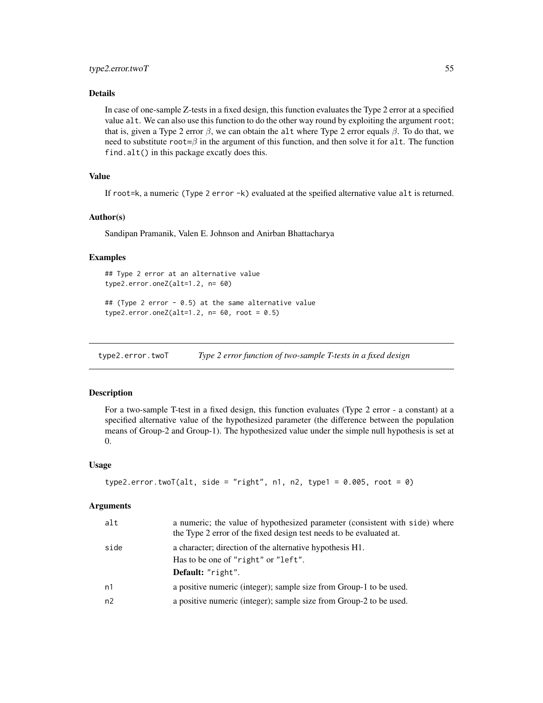# <span id="page-54-0"></span>type2.error.twoT 55

### Details

In case of one-sample Z-tests in a fixed design, this function evaluates the Type 2 error at a specified value alt. We can also use this function to do the other way round by exploiting the argument root; that is, given a Type 2 error  $\beta$ , we can obtain the alt where Type 2 error equals  $\beta$ . To do that, we need to substitute  $root = \beta$  in the argument of this function, and then solve it for alt. The function find.alt() in this package excatly does this.

# Value

If root=k, a numeric (Type 2 error -k) evaluated at the speified alternative value alt is returned.

#### Author(s)

Sandipan Pramanik, Valen E. Johnson and Anirban Bhattacharya

#### Examples

```
## Type 2 error at an alternative value
type2.error.oneZ(alt=1.2, n= 60)
```

```
## (Type 2 error - 0.5) at the same alternative value
type2_error.open(Zalt=1.2, n= 60, root = 0.5)
```
type2.error.twoT *Type 2 error function of two-sample T-tests in a fixed design*

#### Description

For a two-sample T-test in a fixed design, this function evaluates (Type 2 error - a constant) at a specified alternative value of the hypothesized parameter (the difference between the population means of Group-2 and Group-1). The hypothesized value under the simple null hypothesis is set at 0.

#### Usage

```
type2.error.twoT(alt, side = "right", n1, n2, type1 = 0.005, root = 0)
```

| a numeric; the value of hypothesized parameter (consistent with side) where<br>the Type 2 error of the fixed design test needs to be evaluated at. |
|----------------------------------------------------------------------------------------------------------------------------------------------------|
| a character; direction of the alternative hypothesis H1.                                                                                           |
| Has to be one of "right" or "left".                                                                                                                |
| Default: "right".                                                                                                                                  |
| a positive numeric (integer); sample size from Group-1 to be used.                                                                                 |
| a positive numeric (integer); sample size from Group-2 to be used.                                                                                 |
|                                                                                                                                                    |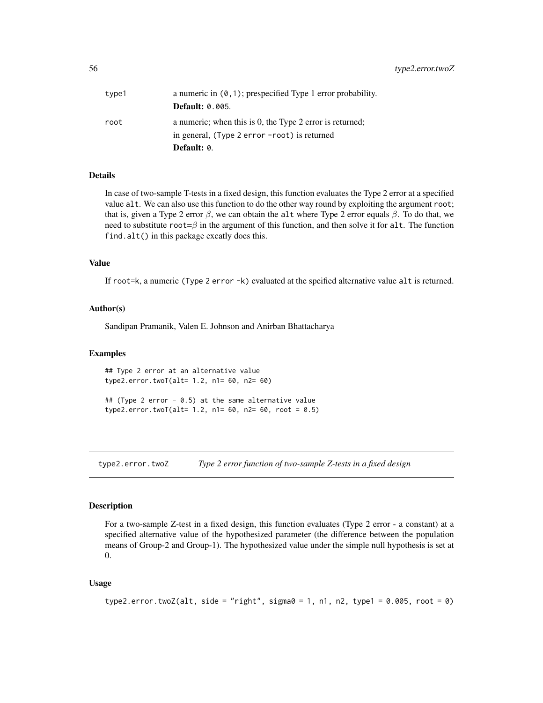<span id="page-55-0"></span>

| type1 | a numeric in $(0, 1)$ ; prespecified Type 1 error probability. |
|-------|----------------------------------------------------------------|
|       | <b>Default: 0.005.</b>                                         |
| root  | a numeric; when this is 0, the Type 2 error is returned;       |
|       | in general, $(\text{Type 2 error -root})$ is returned          |
|       | Default: 0.                                                    |

# Details

In case of two-sample T-tests in a fixed design, this function evaluates the Type 2 error at a specified value alt. We can also use this function to do the other way round by exploiting the argument root; that is, given a Type 2 error  $\beta$ , we can obtain the alt where Type 2 error equals  $\beta$ . To do that, we need to substitute root= $\beta$  in the argument of this function, and then solve it for alt. The function find.alt() in this package excatly does this.

#### Value

If root=k, a numeric (Type 2 error  $-k$ ) evaluated at the speified alternative value alt is returned.

## Author(s)

Sandipan Pramanik, Valen E. Johnson and Anirban Bhattacharya

#### Examples

## Type 2 error at an alternative value type2.error.twoT(alt= 1.2, n1= 60, n2= 60)

## (Type 2 error - 0.5) at the same alternative value type2.error.twoT(alt=  $1.2$ , n1=  $60$ , n2=  $60$ , root =  $0.5$ )

type2.error.twoZ *Type 2 error function of two-sample Z-tests in a fixed design*

#### Description

For a two-sample Z-test in a fixed design, this function evaluates (Type 2 error - a constant) at a specified alternative value of the hypothesized parameter (the difference between the population means of Group-2 and Group-1). The hypothesized value under the simple null hypothesis is set at 0.

#### Usage

```
type2.error.twoZ(alt, side = "right", sigma0 = 1, n1, n2, type1 = 0.005, root = 0)
```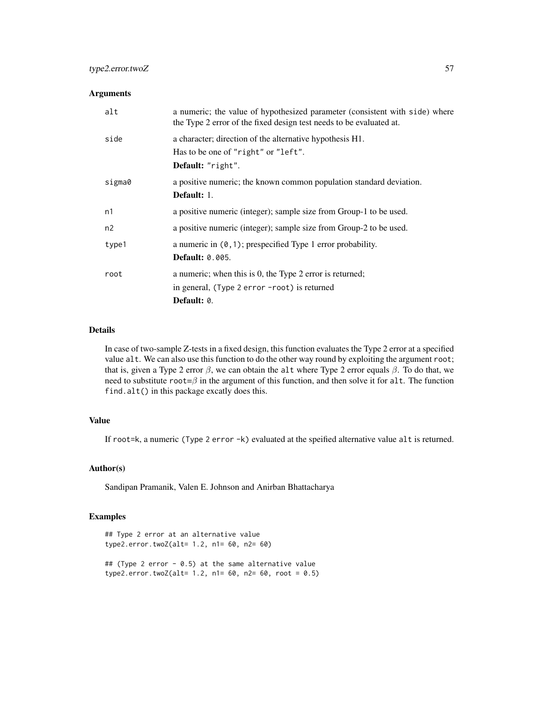# type2.error.twoZ 57

### Arguments

| alt    | a numeric; the value of hypothesized parameter (consistent with side) where<br>the Type 2 error of the fixed design test needs to be evaluated at. |
|--------|----------------------------------------------------------------------------------------------------------------------------------------------------|
| side   | a character; direction of the alternative hypothesis H1.                                                                                           |
|        | Has to be one of "right" or "left".                                                                                                                |
|        | Default: "right".                                                                                                                                  |
| sigma0 | a positive numeric; the known common population standard deviation.                                                                                |
|        | <b>Default:</b> 1.                                                                                                                                 |
| n1     | a positive numeric (integer); sample size from Group-1 to be used.                                                                                 |
| n2     | a positive numeric (integer); sample size from Group-2 to be used.                                                                                 |
| type1  | a numeric in $(0, 1)$ ; prespecified Type 1 error probability.                                                                                     |
|        | <b>Default: 0.005.</b>                                                                                                                             |
| root   | a numeric; when this is 0, the Type 2 error is returned;                                                                                           |
|        | in general, (Type 2 error -root) is returned                                                                                                       |
|        | Default: 0.                                                                                                                                        |

#### Details

In case of two-sample Z-tests in a fixed design, this function evaluates the Type 2 error at a specified value alt. We can also use this function to do the other way round by exploiting the argument root; that is, given a Type 2 error  $β$ , we can obtain the alt where Type 2 error equals  $β$ . To do that, we need to substitute  $root = \beta$  in the argument of this function, and then solve it for alt. The function find.alt() in this package excatly does this.

# Value

If root=k, a numeric (Type 2 error -k) evaluated at the speified alternative value alt is returned.

## Author(s)

Sandipan Pramanik, Valen E. Johnson and Anirban Bhattacharya

#### Examples

```
## Type 2 error at an alternative value
type2.error.twoZ(alt= 1.2, n1= 60, n2= 60)
## (Type 2 error - 0.5) at the same alternative value
type2.error.twoZ(alt= 1.2, n1= 60, n2= 60, root = 0.5)
```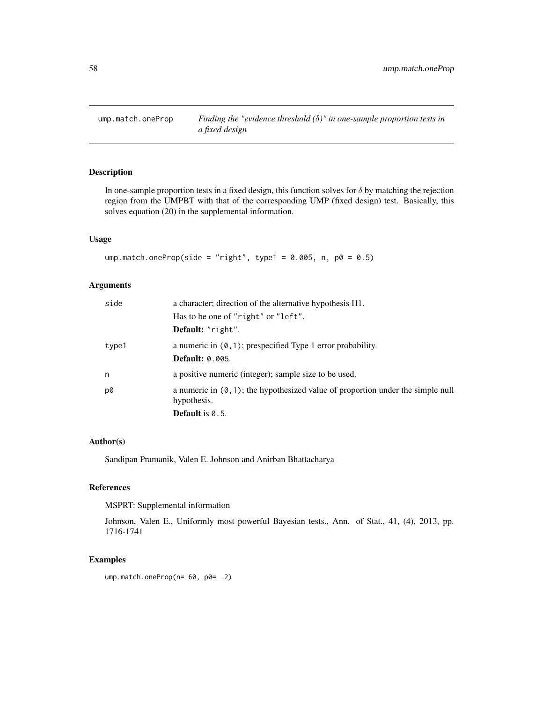<span id="page-57-0"></span>ump.match.oneProp *Finding the "evidence threshold (*δ*)" in one-sample proportion tests in a fixed design*

# Description

In one-sample proportion tests in a fixed design, this function solves for  $\delta$  by matching the rejection region from the UMPBT with that of the corresponding UMP (fixed design) test. Basically, this solves equation (20) in the supplemental information.

# Usage

ump.match.oneProp(side = "right", type1 =  $0.005$ , n, p0 =  $0.5$ )

#### Arguments

| side  | a character; direction of the alternative hypothesis H1.                                         |
|-------|--------------------------------------------------------------------------------------------------|
|       | Has to be one of "right" or "left".                                                              |
|       | Default: "right".                                                                                |
| type1 | a numeric in $(0,1)$ ; prespecified Type 1 error probability.                                    |
|       | <b>Default: 0.005.</b>                                                                           |
| n     | a positive numeric (integer); sample size to be used.                                            |
| p0    | a numeric in $(0,1)$ ; the hypothesized value of proportion under the simple null<br>hypothesis. |
|       | <b>Default</b> is $0.5$ .                                                                        |

# Author(s)

Sandipan Pramanik, Valen E. Johnson and Anirban Bhattacharya

#### References

MSPRT: Supplemental information

Johnson, Valen E., Uniformly most powerful Bayesian tests., Ann. of Stat., 41, (4), 2013, pp. 1716-1741

#### Examples

ump.match.oneProp(n= 60, p0= .2)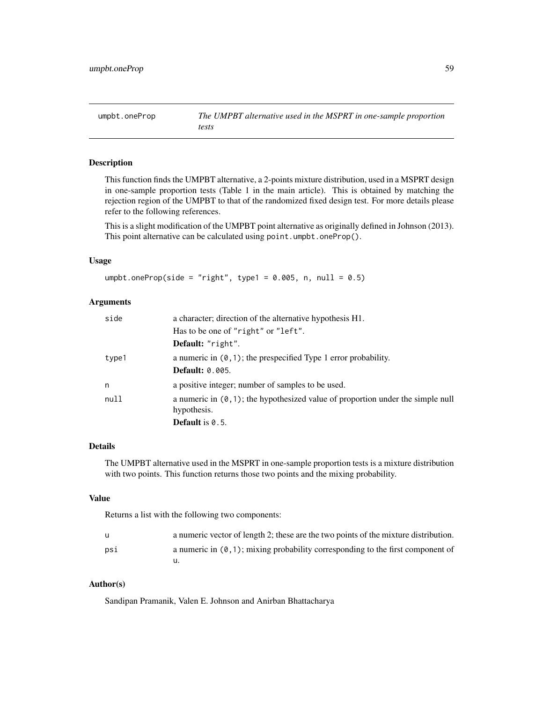<span id="page-58-0"></span>umpbt.oneProp *The UMPBT alternative used in the MSPRT in one-sample proportion tests*

#### Description

This function finds the UMPBT alternative, a 2-points mixture distribution, used in a MSPRT design in one-sample proportion tests (Table 1 in the main article). This is obtained by matching the rejection region of the UMPBT to that of the randomized fixed design test. For more details please refer to the following references.

This is a slight modification of the UMPBT point alternative as originally defined in Johnson (2013). This point alternative can be calculated using point.umpbt.oneProp().

#### Usage

umpbt.oneProp(side = "right", type1 =  $0.005$ , n, null =  $0.5$ )

# Arguments

| side  | a character; direction of the alternative hypothesis H1.                                          |
|-------|---------------------------------------------------------------------------------------------------|
|       | Has to be one of "right" or "left".                                                               |
|       | Default: "right".                                                                                 |
| type1 | a numeric in $(0,1)$ ; the prespecified Type 1 error probability.                                 |
|       | <b>Default: 0.005.</b>                                                                            |
| n     | a positive integer; number of samples to be used.                                                 |
| null  | a numeric in $(0, 1)$ ; the hypothesized value of proportion under the simple null<br>hypothesis. |
|       | <b>Default</b> is $0.5$ .                                                                         |

# Details

The UMPBT alternative used in the MSPRT in one-sample proportion tests is a mixture distribution with two points. This function returns those two points and the mixing probability.

#### Value

Returns a list with the following two components:

|     | a numeric vector of length 2; these are the two points of the mixture distribution. |
|-----|-------------------------------------------------------------------------------------|
| psi | a numeric in $(0, 1)$ ; mixing probability corresponding to the first component of  |
|     |                                                                                     |

#### Author(s)

Sandipan Pramanik, Valen E. Johnson and Anirban Bhattacharya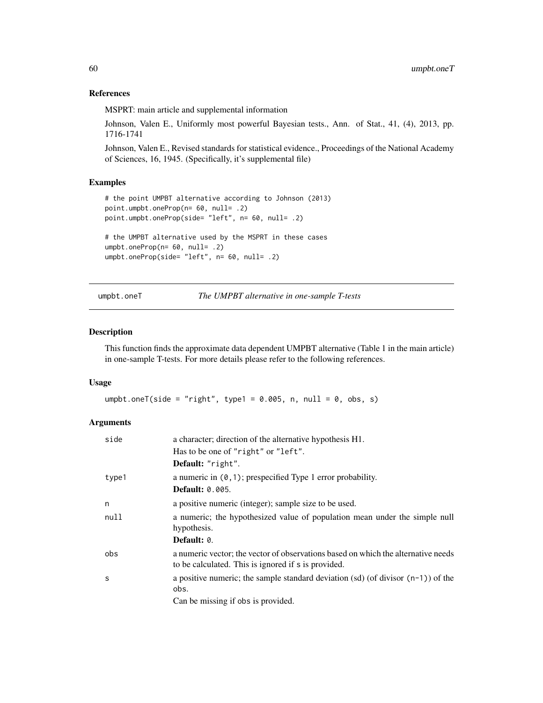# References

MSPRT: main article and supplemental information

Johnson, Valen E., Uniformly most powerful Bayesian tests., Ann. of Stat., 41, (4), 2013, pp. 1716-1741

Johnson, Valen E., Revised standards for statistical evidence., Proceedings of the National Academy of Sciences, 16, 1945. (Specifically, it's supplemental file)

#### Examples

```
# the point UMPBT alternative according to Johnson (2013)
point.umpbt.oneProp(n= 60, null= .2)
point.umpbt.oneProp(side= "left", n= 60, null= .2)
# the UMPBT alternative used by the MSPRT in these cases
umpbt.oneProp(n= 60, null= .2)
umpbt.oneProp(side= "left", n= 60, null= .2)
```
umpbt.oneT *The UMPBT alternative in one-sample T-tests*

#### Description

This function finds the approximate data dependent UMPBT alternative (Table 1 in the main article) in one-sample T-tests. For more details please refer to the following references.

#### Usage

umpbt.oneT(side = "right", type1 =  $0.005$ , n, null =  $0$ , obs, s)

| side  | a character; direction of the alternative hypothesis H1.                                                                                 |
|-------|------------------------------------------------------------------------------------------------------------------------------------------|
|       | Has to be one of "right" or "left".                                                                                                      |
|       | Default: "right".                                                                                                                        |
| type1 | a numeric in $(0, 1)$ ; prespecified Type 1 error probability.                                                                           |
|       | <b>Default: 0.005.</b>                                                                                                                   |
| n     | a positive numeric (integer); sample size to be used.                                                                                    |
| null  | a numeric; the hypothesized value of population mean under the simple null                                                               |
|       | hypothesis.                                                                                                                              |
|       | Default: 0.                                                                                                                              |
| obs   | a numeric vector; the vector of observations based on which the alternative needs<br>to be calculated. This is ignored if s is provided. |
| S     | a positive numeric; the sample standard deviation (sd) (of divisor $(n-1)$ ) of the                                                      |
|       | obs.                                                                                                                                     |
|       | Can be missing if obs is provided.                                                                                                       |

<span id="page-59-0"></span>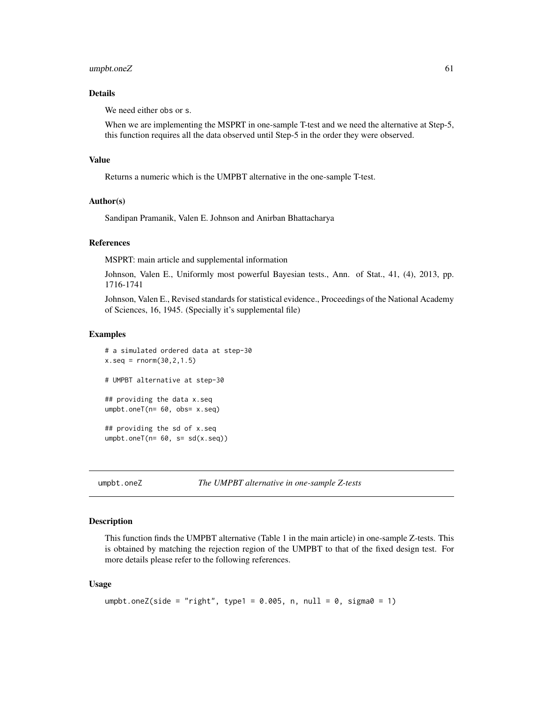#### <span id="page-60-0"></span>umpbt.oneZ 61

# Details

We need either obs or s.

When we are implementing the MSPRT in one-sample T-test and we need the alternative at Step-5, this function requires all the data observed until Step-5 in the order they were observed.

#### Value

Returns a numeric which is the UMPBT alternative in the one-sample T-test.

#### Author(s)

Sandipan Pramanik, Valen E. Johnson and Anirban Bhattacharya

#### References

MSPRT: main article and supplemental information

Johnson, Valen E., Uniformly most powerful Bayesian tests., Ann. of Stat., 41, (4), 2013, pp. 1716-1741

Johnson, Valen E., Revised standards for statistical evidence., Proceedings of the National Academy of Sciences, 16, 1945. (Specially it's supplemental file)

#### Examples

```
# a simulated ordered data at step-30
x.\text{seq} = \text{rnorm}(30, 2, 1.5)# UMPBT alternative at step-30
## providing the data x.seq
umpbt.oneT(n= 60, obs= x.seq)
## providing the sd of x.seq
umpbt.oneT(n= 60, s= sd(x.seq))
```
umpbt.oneZ *The UMPBT alternative in one-sample Z-tests*

# Description

This function finds the UMPBT alternative (Table 1 in the main article) in one-sample Z-tests. This is obtained by matching the rejection region of the UMPBT to that of the fixed design test. For more details please refer to the following references.

#### Usage

```
umpbt.oneZ(side = "right", type1 = 0.005, n, null = 0, sigma0 = 1)
```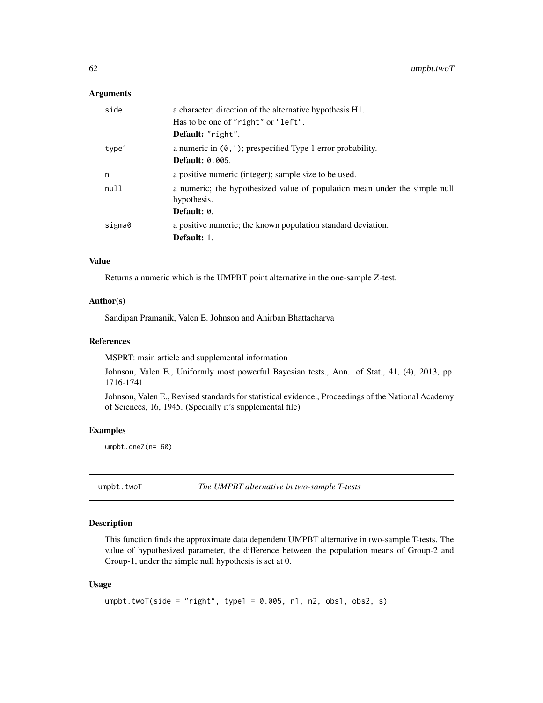#### <span id="page-61-0"></span>**Arguments**

| side   | a character; direction of the alternative hypothesis H1.                                  |
|--------|-------------------------------------------------------------------------------------------|
|        | Has to be one of "right" or "left".                                                       |
|        | Default: "right".                                                                         |
| type1  | a numeric in $(0, 1)$ ; prespecified Type 1 error probability.                            |
|        | <b>Default: 0.005.</b>                                                                    |
| n      | a positive numeric (integer); sample size to be used.                                     |
| null   | a numeric; the hypothesized value of population mean under the simple null<br>hypothesis. |
|        | Default: 0.                                                                               |
| sigma0 | a positive numeric; the known population standard deviation.                              |
|        | <b>Default:</b> 1.                                                                        |

#### Value

Returns a numeric which is the UMPBT point alternative in the one-sample Z-test.

#### Author(s)

Sandipan Pramanik, Valen E. Johnson and Anirban Bhattacharya

# References

MSPRT: main article and supplemental information

Johnson, Valen E., Uniformly most powerful Bayesian tests., Ann. of Stat., 41, (4), 2013, pp. 1716-1741

Johnson, Valen E., Revised standards for statistical evidence., Proceedings of the National Academy of Sciences, 16, 1945. (Specially it's supplemental file)

#### Examples

umpbt.oneZ(n= 60)

umpbt.twoT *The UMPBT alternative in two-sample T-tests*

# Description

This function finds the approximate data dependent UMPBT alternative in two-sample T-tests. The value of hypothesized parameter, the difference between the population means of Group-2 and Group-1, under the simple null hypothesis is set at 0.

#### Usage

```
umpbt.twoT(side = "right", type1 = 0.005, n1, n2, obs1, obs2, s)
```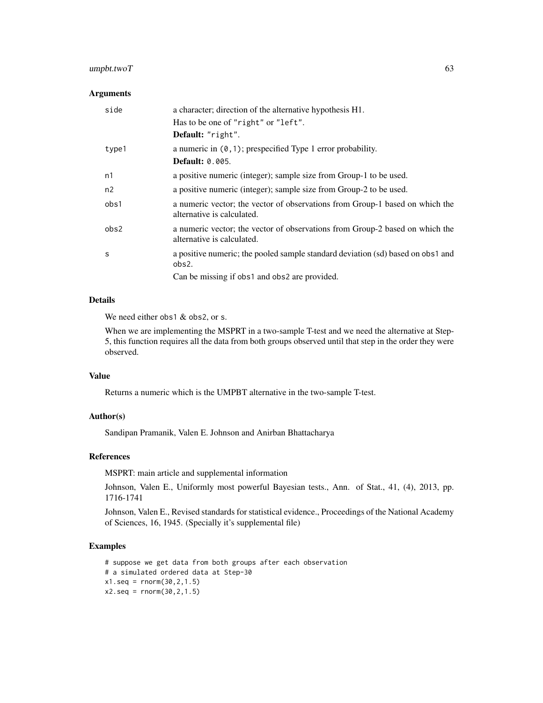### umpbt.twoT 63

## Arguments

| side  | a character; direction of the alternative hypothesis H1.<br>Has to be one of "right" or "left".<br>Default: "right". |
|-------|----------------------------------------------------------------------------------------------------------------------|
| type1 | a numeric in $(0, 1)$ ; prespecified Type 1 error probability.<br>Default: 0.005.                                    |
| n1    | a positive numeric (integer); sample size from Group-1 to be used.                                                   |
| n2    | a positive numeric (integer); sample size from Group-2 to be used.                                                   |
| obs1  | a numeric vector; the vector of observations from Group-1 based on which the<br>alternative is calculated.           |
| obs2  | a numeric vector; the vector of observations from Group-2 based on which the<br>alternative is calculated.           |
| s     | a positive numeric; the pooled sample standard deviation (sd) based on obs1 and<br>obs2.                             |
|       | Can be missing if obs1 and obs2 are provided.                                                                        |

#### Details

We need either obs1 & obs2, or s.

When we are implementing the MSPRT in a two-sample T-test and we need the alternative at Step-5, this function requires all the data from both groups observed until that step in the order they were observed.

# Value

Returns a numeric which is the UMPBT alternative in the two-sample T-test.

# Author(s)

Sandipan Pramanik, Valen E. Johnson and Anirban Bhattacharya

#### References

MSPRT: main article and supplemental information

Johnson, Valen E., Uniformly most powerful Bayesian tests., Ann. of Stat., 41, (4), 2013, pp. 1716-1741

Johnson, Valen E., Revised standards for statistical evidence., Proceedings of the National Academy of Sciences, 16, 1945. (Specially it's supplemental file)

# Examples

```
# suppose we get data from both groups after each observation
# a simulated ordered data at Step-30
x1.\text{seq} = \text{rnorm}(30, 2, 1.5)x2.\text{seq} = \text{rnorm}(30, 2, 1.5)
```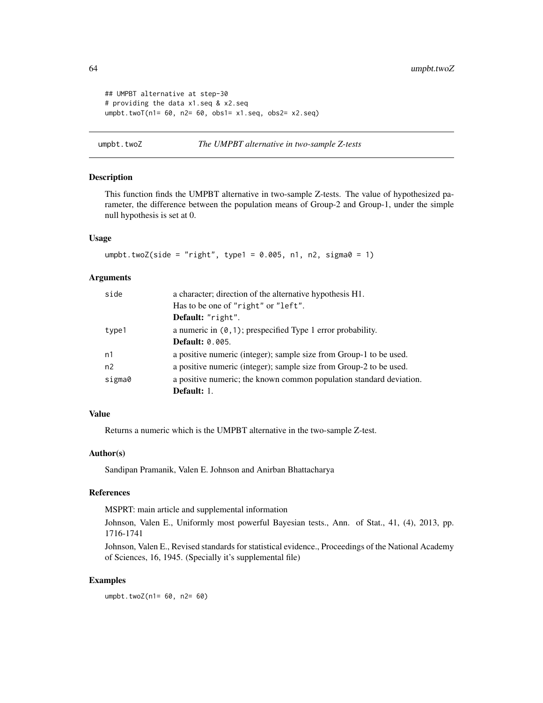```
## UMPBT alternative at step-30
# providing the data x1.seq & x2.seq
umpbt.twoT(n1= 60, n2= 60, obs1= x1.seq, obs2= x2.seq)
```

```
umpbt.twoZ The UMPBT alternative in two-sample Z-tests
```
#### Description

This function finds the UMPBT alternative in two-sample Z-tests. The value of hypothesized parameter, the difference between the population means of Group-2 and Group-1, under the simple null hypothesis is set at 0.

#### Usage

umpbt.twoZ(side = "right", type1 =  $0.005$ , n1, n2, sigma $0 = 1$ )

# Arguments

| side           | a character; direction of the alternative hypothesis H1.            |
|----------------|---------------------------------------------------------------------|
|                | Has to be one of "right" or "left".                                 |
|                | Default: "right".                                                   |
| type1          | a numeric in $(0, 1)$ ; prespecified Type 1 error probability.      |
|                | <b>Default: 0.005.</b>                                              |
| n1             | a positive numeric (integer); sample size from Group-1 to be used.  |
| n <sub>2</sub> | a positive numeric (integer); sample size from Group-2 to be used.  |
| sigma0         | a positive numeric; the known common population standard deviation. |
|                | Default: 1.                                                         |

#### Value

Returns a numeric which is the UMPBT alternative in the two-sample Z-test.

# Author(s)

Sandipan Pramanik, Valen E. Johnson and Anirban Bhattacharya

# References

MSPRT: main article and supplemental information

Johnson, Valen E., Uniformly most powerful Bayesian tests., Ann. of Stat., 41, (4), 2013, pp. 1716-1741

Johnson, Valen E., Revised standards for statistical evidence., Proceedings of the National Academy of Sciences, 16, 1945. (Specially it's supplemental file)

#### Examples

umpbt.twoZ(n1= 60, n2= 60)

<span id="page-63-0"></span>